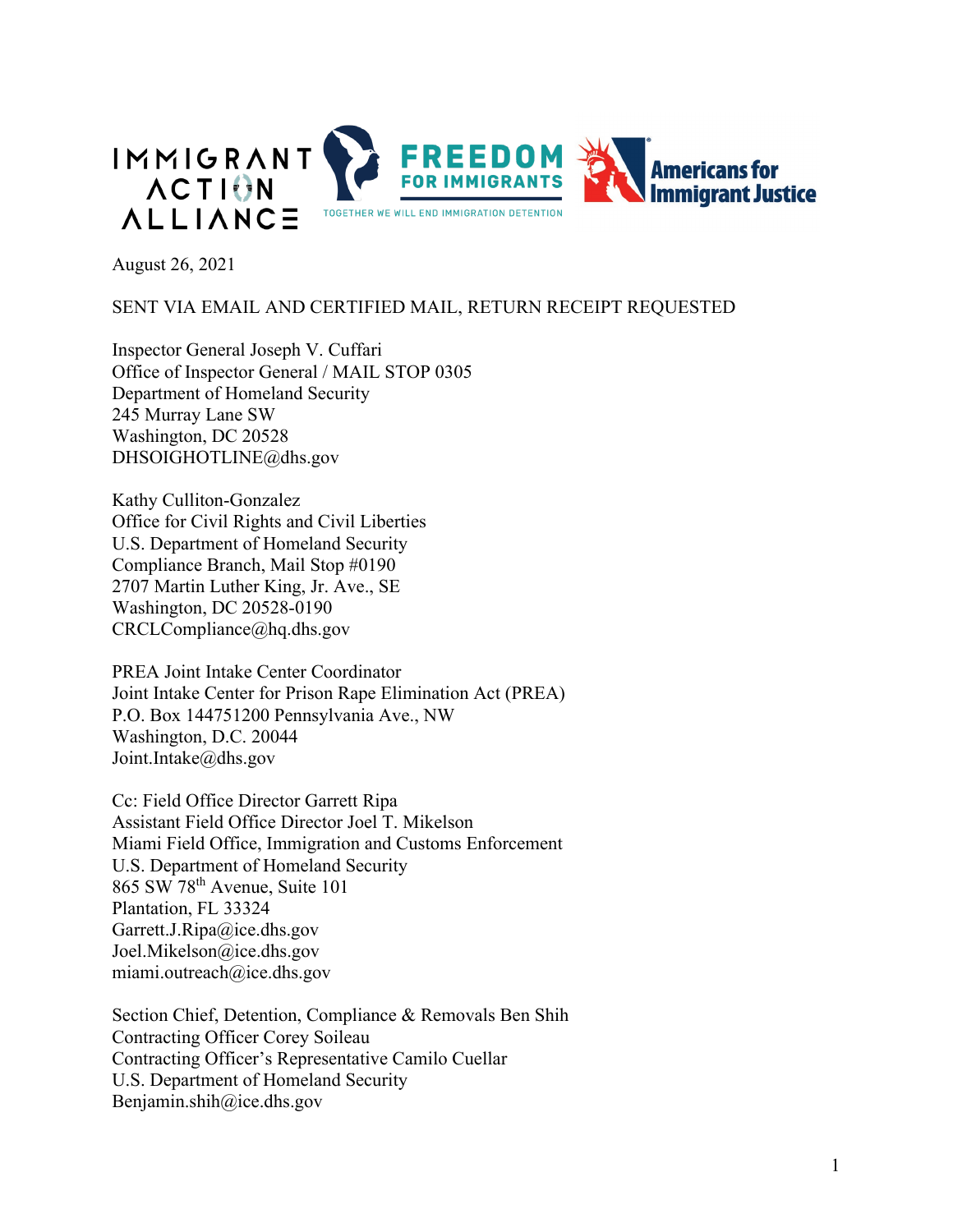

August 26, 2021

### SENT VIA EMAIL AND CERTIFIED MAIL, RETURN RECEIPT REQUESTED

Inspector General Joseph V. Cuffari Office of Inspector General / MAIL STOP 0305 Department of Homeland Security 245 Murray Lane SW Washington, DC 20528 DHSOIGHOTLINE@dhs.gov

Kathy Culliton-Gonzalez Office for Civil Rights and Civil Liberties U.S. Department of Homeland Security Compliance Branch, Mail Stop #0190 2707 Martin Luther King, Jr. Ave., SE Washington, DC 20528-0190 CRCLCompliance@hq.dhs.gov

PREA Joint Intake Center Coordinator Joint Intake Center for Prison Rape Elimination Act (PREA) P.O. Box 144751200 Pennsylvania Ave., NW Washington, D.C. 20044 Joint.Intake@dhs.gov

Cc: Field Office Director Garrett Ripa Assistant Field Office Director Joel T. Mikelson Miami Field Office, Immigration and Customs Enforcement U.S. Department of Homeland Security 865 SW 78th Avenue, Suite 101 Plantation, FL 33324 Garrett.J.Ripa@ice.dhs.gov Joel.Mikelson@ice.dhs.gov [miami.outreach@ice.dhs.gov](mailto:miami.outreach@ice.dhs.gov)

Section Chief, Detention, Compliance & Removals Ben Shih Contracting Officer Corey Soileau Contracting Officer's Representative Camilo Cuellar U.S. Department of Homeland Security Benjamin.shih@ice.dhs.gov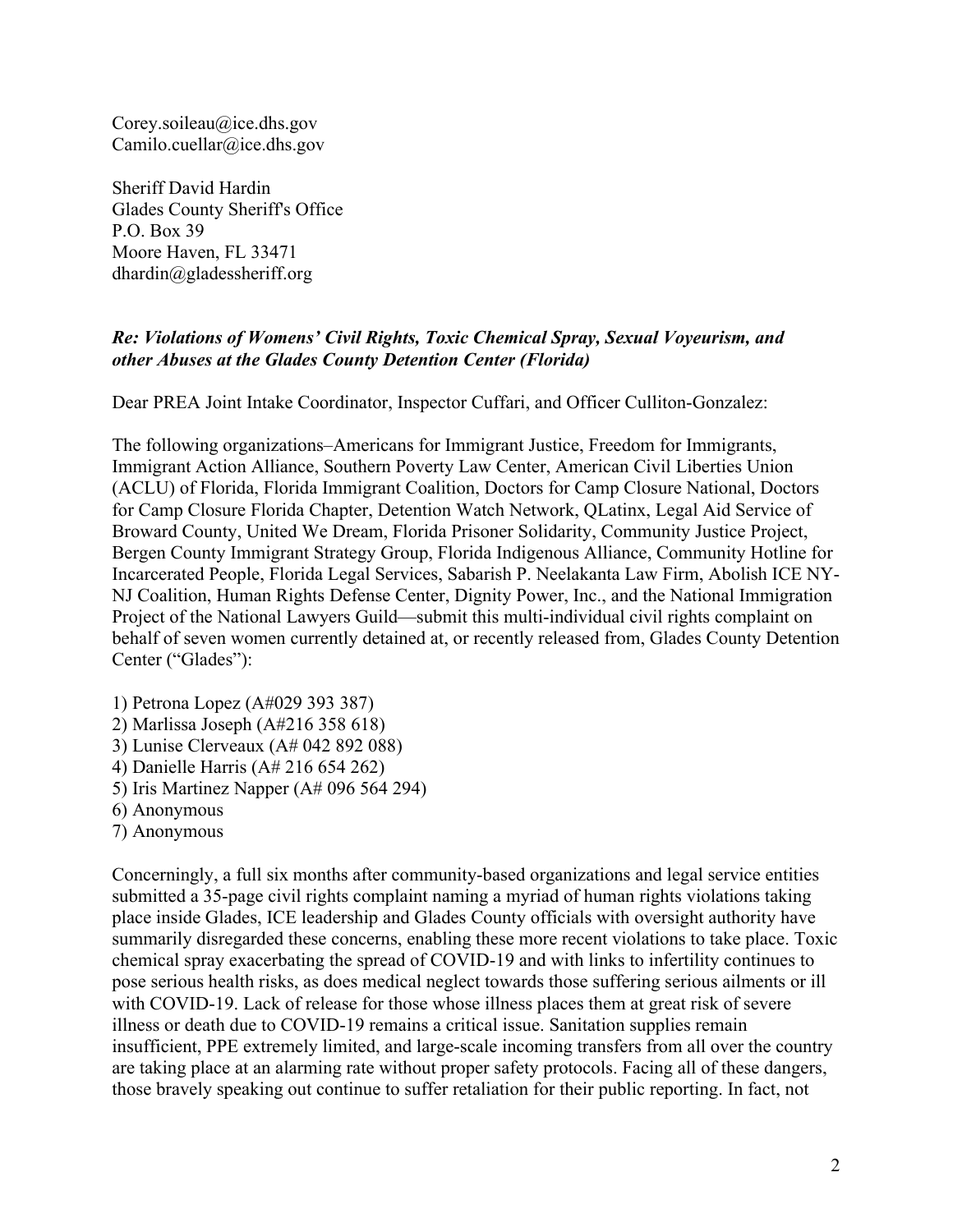Corey.soileau@ice.dhs.gov Camilo.cuellar@ice.dhs.gov

Sheriff David Hardin Glades County Sheriff's Office P.O. Box 39 Moore Haven, FL 33471  $d$ hardin $@g$ ladessheriff.org

#### *Re: Violations of Womens' Civil Rights, Toxic Chemical Spray, Sexual Voyeurism, and other Abuses at the Glades County Detention Center (Florida)*

Dear PREA Joint Intake Coordinator, Inspector Cuffari, and Officer Culliton-Gonzalez:

The following organizations–Americans for Immigrant Justice, Freedom for Immigrants, Immigrant Action Alliance, Southern Poverty Law Center, American Civil Liberties Union (ACLU) of Florida, Florida Immigrant Coalition, Doctors for Camp Closure National, Doctors for Camp Closure Florida Chapter, Detention Watch Network, QLatinx, Legal Aid Service of Broward County, United We Dream, Florida Prisoner Solidarity, Community Justice Project, Bergen County Immigrant Strategy Group, Florida Indigenous Alliance, Community Hotline for Incarcerated People, Florida Legal Services, Sabarish P. Neelakanta Law Firm, Abolish ICE NY-NJ Coalition, Human Rights Defense Center, Dignity Power, Inc., and the National Immigration Project of the National Lawyers Guild—submit this multi-individual civil rights complaint on behalf of seven women currently detained at, or recently released from, Glades County Detention Center ("Glades"):

1) Petrona Lopez (A#029 393 387) 2) Marlissa Joseph (A#216 358 618) 3) Lunise Clerveaux (A# 042 892 088) 4) Danielle Harris (A# 216 654 262) 5) Iris Martinez Napper (A# 096 564 294) 6) Anonymous 7) Anonymous

Concerningly, a full six months after community-based organizations and legal service entities submitted a 35-page civil rights complaint naming a myriad of human rights violations taking place inside Glades, ICE leadership and Glades County officials with oversight authority have summarily disregarded these concerns, enabling these more recent violations to take place. Toxic chemical spray exacerbating the spread of COVID-19 and with links to infertility continues to pose serious health risks, as does medical neglect towards those suffering serious ailments or ill with COVID-19. Lack of release for those whose illness places them at great risk of severe illness or death due to COVID-19 remains a critical issue. Sanitation supplies remain insufficient, PPE extremely limited, and large-scale incoming transfers from all over the country are taking place at an alarming rate without proper safety protocols. Facing all of these dangers, those bravely speaking out continue to suffer retaliation for their public reporting. In fact, not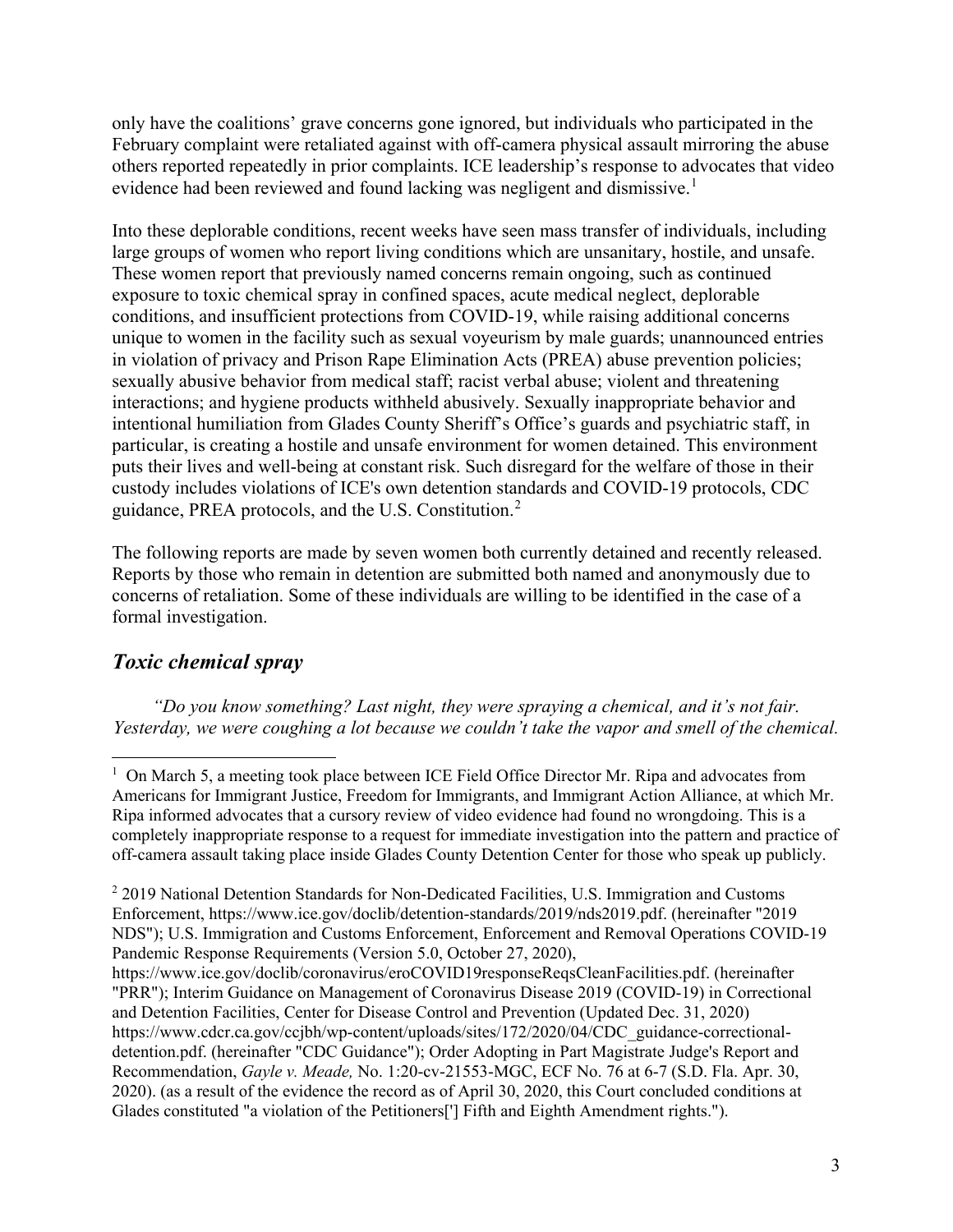only have the coalitions' grave concerns gone ignored, but individuals who participated in the February complaint were retaliated against with off-camera physical assault mirroring the abuse others reported repeatedly in prior complaints. ICE leadership's response to advocates that video evidence had been reviewed and found lacking was negligent and dismissive.<sup>[1](#page-2-0)</sup>

Into these deplorable conditions, recent weeks have seen mass transfer of individuals, including large groups of women who report living conditions which are unsanitary, hostile, and unsafe. These women report that previously named concerns remain ongoing, such as continued exposure to toxic chemical spray in confined spaces, acute medical neglect, deplorable conditions, and insufficient protections from COVID-19, while raising additional concerns unique to women in the facility such as sexual voyeurism by male guards; unannounced entries in violation of privacy and Prison Rape Elimination Acts (PREA) abuse prevention policies; sexually abusive behavior from medical staff; racist verbal abuse; violent and threatening interactions; and hygiene products withheld abusively. Sexually inappropriate behavior and intentional humiliation from Glades County Sheriff's Office's guards and psychiatric staff, in particular, is creating a hostile and unsafe environment for women detained. This environment puts their lives and well-being at constant risk. Such disregard for the welfare of those in their custody includes violations of ICE's own detention standards and COVID-19 protocols, CDC guidance, PREA protocols, and the U.S. Constitution.[2](#page-2-1)

The following reports are made by seven women both currently detained and recently released. Reports by those who remain in detention are submitted both named and anonymously due to concerns of retaliation. Some of these individuals are willing to be identified in the case of a formal investigation.

# *Toxic chemical spray*

*"Do you know something? Last night, they were spraying a chemical, and it's not fair. Yesterday, we were coughing a lot because we couldn't take the vapor and smell of the chemical.* 

<span id="page-2-0"></span><sup>&</sup>lt;sup>1</sup> On March 5, a meeting took place between ICE Field Office Director Mr. Ripa and advocates from Americans for Immigrant Justice, Freedom for Immigrants, and Immigrant Action Alliance, at which Mr. Ripa informed advocates that a cursory review of video evidence had found no wrongdoing. This is a completely inappropriate response to a request for immediate investigation into the pattern and practice of off-camera assault taking place inside Glades County Detention Center for those who speak up publicly.

<span id="page-2-1"></span><sup>&</sup>lt;sup>2</sup> 2019 National Detention Standards for Non-Dedicated Facilities, U.S. Immigration and Customs Enforcement, https://www.ice.gov/doclib/detention-standards/2019/nds2019.pdf. (hereinafter "2019 NDS"); U.S. Immigration and Customs Enforcement, Enforcement and Removal Operations COVID-19 Pandemic Response Requirements (Version 5.0, October 27, 2020),

https://www.ice.gov/doclib/coronavirus/eroCOVID19responseReqsCleanFacilities.pdf. (hereinafter "PRR"); Interim Guidance on Management of Coronavirus Disease 2019 (COVID-19) in Correctional and Detention Facilities, Center for Disease Control and Prevention (Updated Dec. 31, 2020) https://www.cdcr.ca.gov/ccjbh/wp-content/uploads/sites/172/2020/04/CDC\_guidance-correctionaldetention.pdf. (hereinafter "CDC Guidance"); Order Adopting in Part Magistrate Judge's Report and Recommendation, *Gayle v. Meade,* No. 1:20-cv-21553-MGC, ECF No. 76 at 6-7 (S.D. Fla. Apr. 30, 2020). (as a result of the evidence the record as of April 30, 2020, this Court concluded conditions at Glades constituted "a violation of the Petitioners['] Fifth and Eighth Amendment rights.").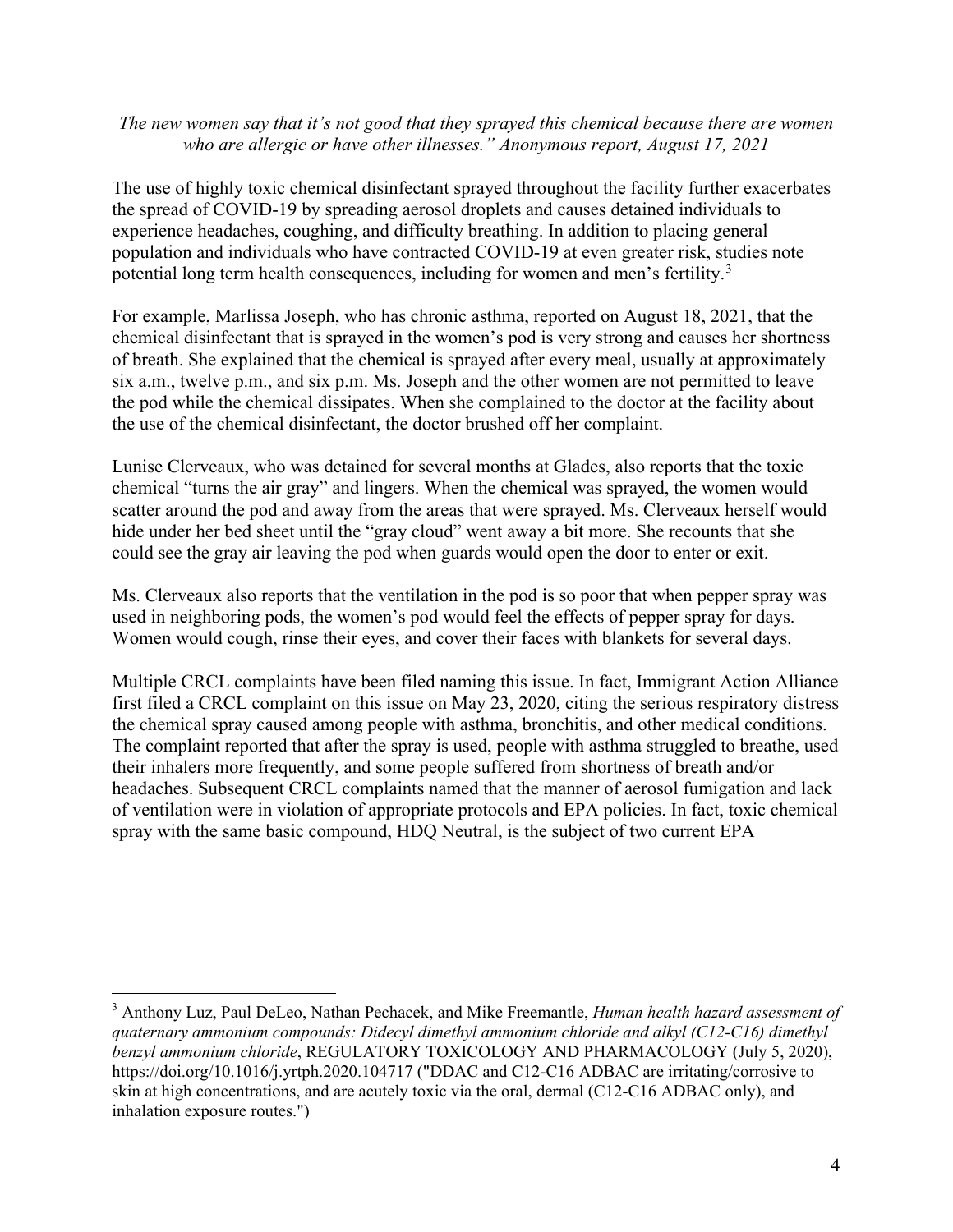#### *The new women say that it's not good that they sprayed this chemical because there are women who are allergic or have other illnesses." Anonymous report, August 17, 2021*

The use of highly toxic chemical disinfectant sprayed throughout the facility further exacerbates the spread of COVID-19 by spreading aerosol droplets and causes detained individuals to experience headaches, coughing, and difficulty breathing. In addition to placing general population and individuals who have contracted COVID-19 at even greater risk, studies note potential long term health consequences, including for women and men's fertility.[3](#page-3-0)

For example, Marlissa Joseph, who has chronic asthma, reported on August 18, 2021, that the chemical disinfectant that is sprayed in the women's pod is very strong and causes her shortness of breath. She explained that the chemical is sprayed after every meal, usually at approximately six a.m., twelve p.m., and six p.m. Ms. Joseph and the other women are not permitted to leave the pod while the chemical dissipates. When she complained to the doctor at the facility about the use of the chemical disinfectant, the doctor brushed off her complaint.

Lunise Clerveaux, who was detained for several months at Glades, also reports that the toxic chemical "turns the air gray" and lingers. When the chemical was sprayed, the women would scatter around the pod and away from the areas that were sprayed. Ms. Clerveaux herself would hide under her bed sheet until the "gray cloud" went away a bit more. She recounts that she could see the gray air leaving the pod when guards would open the door to enter or exit.

Ms. Clerveaux also reports that the ventilation in the pod is so poor that when pepper spray was used in neighboring pods, the women's pod would feel the effects of pepper spray for days. Women would cough, rinse their eyes, and cover their faces with blankets for several days.

Multiple CRCL complaints have been filed naming this issue. In fact, Immigrant Action Alliance first filed a CRCL complaint on this issue on May 23, 2020, citing the serious respiratory distress the chemical spray caused among people with asthma, bronchitis, and other medical conditions. The complaint reported that after the spray is used, people with asthma struggled to breathe, used their inhalers more frequently, and some people suffered from shortness of breath and/or headaches. Subsequent CRCL complaints named that the manner of aerosol fumigation and lack of ventilation were in violation of appropriate protocols and EPA policies. In fact, toxic chemical spray with the same basic compound, HDQ Neutral, is the subject of two current EPA

<span id="page-3-0"></span><sup>3</sup> Anthony Luz, Paul DeLeo, Nathan Pechacek, and Mike Freemantle, *Human health hazard assessment of quaternary ammonium compounds: Didecyl dimethyl ammonium chloride and alkyl (C12-C16) dimethyl benzyl ammonium chloride*, REGULATORY TOXICOLOGY AND PHARMACOLOGY (July 5, 2020), https://doi.org/10.1016/j.yrtph.2020.104717 ("DDAC and C12-C16 ADBAC are irritating/corrosive to skin at high concentrations, and are acutely toxic via the oral, dermal (C12-C16 ADBAC only), and inhalation exposure routes.")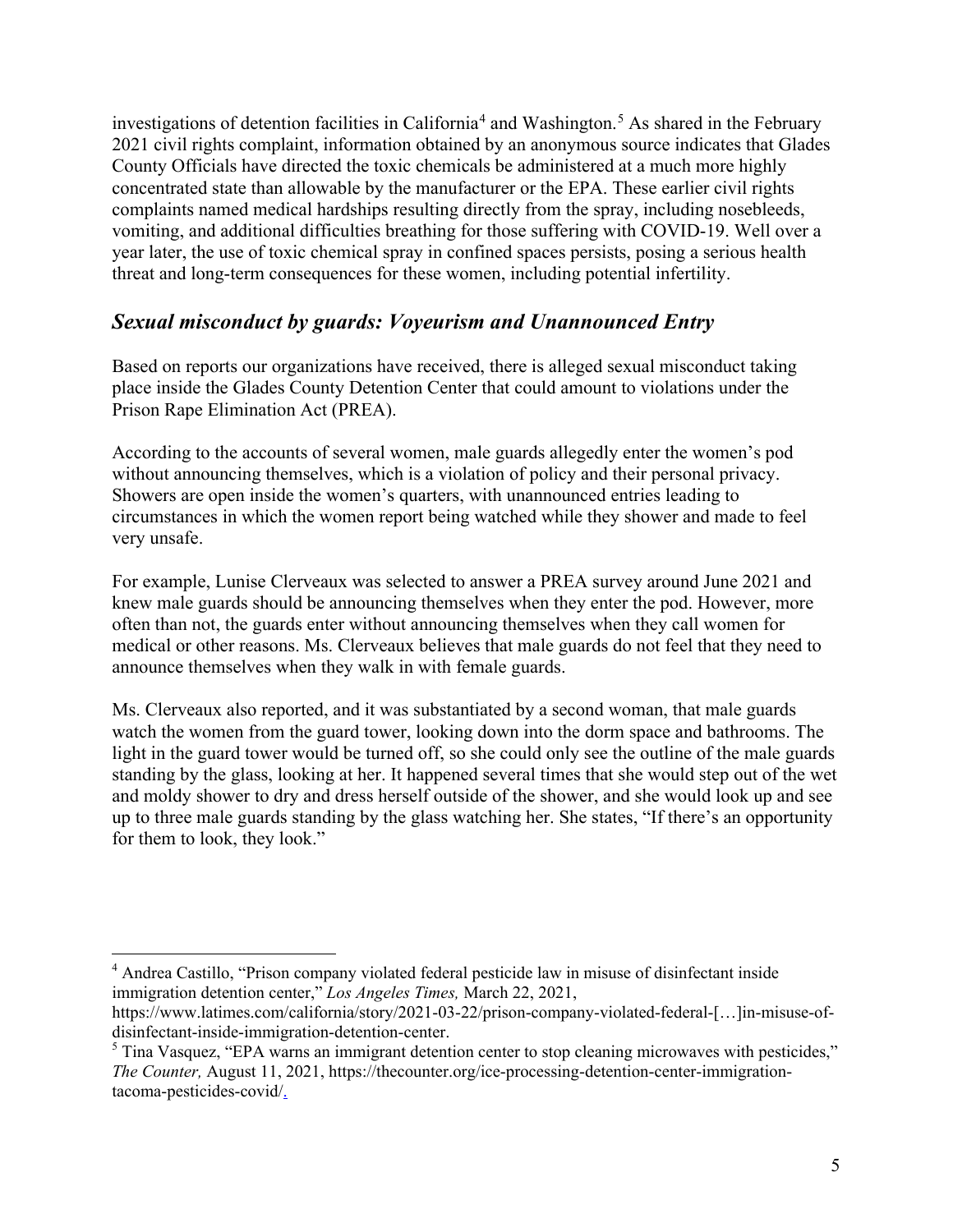investigations of detention facilities in California<sup>[4](#page-4-0)</sup> and Washington.<sup>[5](#page-4-1)</sup> As shared in the February 2021 civil rights complaint, information obtained by an anonymous source indicates that Glades County Officials have directed the toxic chemicals be administered at a much more highly concentrated state than allowable by the manufacturer or the EPA. These earlier civil rights complaints named medical hardships resulting directly from the spray, including nosebleeds, vomiting, and additional difficulties breathing for those suffering with COVID-19. Well over a year later, the use of toxic chemical spray in confined spaces persists, posing a serious health threat and long-term consequences for these women, including potential infertility.

## *Sexual misconduct by guards: Voyeurism and Unannounced Entry*

Based on reports our organizations have received, there is alleged sexual misconduct taking place inside the Glades County Detention Center that could amount to violations under the Prison Rape Elimination Act (PREA).

According to the accounts of several women, male guards allegedly enter the women's pod without announcing themselves, which is a violation of policy and their personal privacy. Showers are open inside the women's quarters, with unannounced entries leading to circumstances in which the women report being watched while they shower and made to feel very unsafe.

For example, Lunise Clerveaux was selected to answer a PREA survey around June 2021 and knew male guards should be announcing themselves when they enter the pod. However, more often than not, the guards enter without announcing themselves when they call women for medical or other reasons. Ms. Clerveaux believes that male guards do not feel that they need to announce themselves when they walk in with female guards.

Ms. Clerveaux also reported, and it was substantiated by a second woman, that male guards watch the women from the guard tower, looking down into the dorm space and bathrooms. The light in the guard tower would be turned off, so she could only see the outline of the male guards standing by the glass, looking at her. It happened several times that she would step out of the wet and moldy shower to dry and dress herself outside of the shower, and she would look up and see up to three male guards standing by the glass watching her. She states, "If there's an opportunity for them to look, they look."

<span id="page-4-0"></span><sup>4</sup> Andrea Castillo, "Prison company violated federal pesticide law in misuse of disinfectant inside immigration detention center," *Los Angeles Times,* March 22, 2021,

https://www.latimes.com/california/story/2021-03-22/prison-company-violated-federal-[…]in-misuse-ofdisinfectant-inside-immigration-detention-center.<br><sup>5</sup> Tina Vasquez, "EPA warns an immigrant detention center to stop cleaning microwaves with pesticides,"

<span id="page-4-1"></span>*The Counter,* August 11, 2021, https://thecounter.org/ice-processing-detention-center-immigrationtacoma-pesticides-covid/.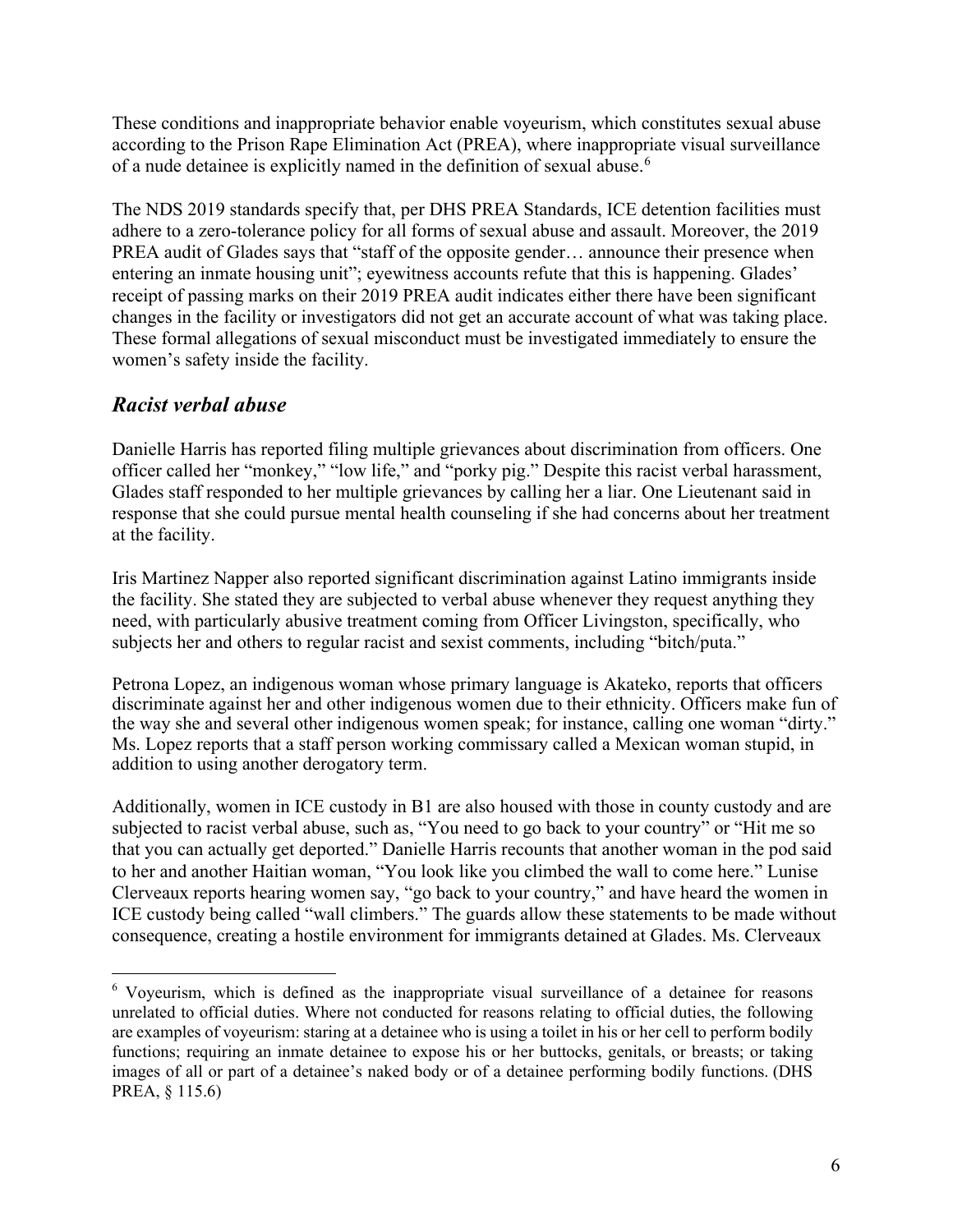These conditions and inappropriate behavior enable voyeurism, which constitutes sexual abuse according to the Prison Rape Elimination Act (PREA), where inappropriate visual surveillance of a nude detainee is explicitly named in the definition of sexual abuse.[6](#page-5-0)

The NDS 2019 standards specify that, per DHS PREA Standards, ICE detention facilities must adhere to a zero-tolerance policy for all forms of sexual abuse and assault. Moreover, the 2019 PREA audit of Glades says that "staff of the opposite gender… announce their presence when entering an inmate housing unit"; eyewitness accounts refute that this is happening. Glades' receipt of passing marks on their 2019 PREA audit indicates either there have been significant changes in the facility or investigators did not get an accurate account of what was taking place. These formal allegations of sexual misconduct must be investigated immediately to ensure the women's safety inside the facility.

# *Racist verbal abuse*

Danielle Harris has reported filing multiple grievances about discrimination from officers. One officer called her "monkey," "low life," and "porky pig." Despite this racist verbal harassment, Glades staff responded to her multiple grievances by calling her a liar. One Lieutenant said in response that she could pursue mental health counseling if she had concerns about her treatment at the facility.

Iris Martinez Napper also reported significant discrimination against Latino immigrants inside the facility. She stated they are subjected to verbal abuse whenever they request anything they need, with particularly abusive treatment coming from Officer Livingston, specifically, who subjects her and others to regular racist and sexist comments, including "bitch/puta."

Petrona Lopez, an indigenous woman whose primary language is Akateko, reports that officers discriminate against her and other indigenous women due to their ethnicity. Officers make fun of the way she and several other indigenous women speak; for instance, calling one woman "dirty." Ms. Lopez reports that a staff person working commissary called a Mexican woman stupid, in addition to using another derogatory term.

Additionally, women in ICE custody in B1 are also housed with those in county custody and are subjected to racist verbal abuse, such as, "You need to go back to your country" or "Hit me so that you can actually get deported." Danielle Harris recounts that another woman in the pod said to her and another Haitian woman, "You look like you climbed the wall to come here." Lunise Clerveaux reports hearing women say, "go back to your country," and have heard the women in ICE custody being called "wall climbers." The guards allow these statements to be made without consequence, creating a hostile environment for immigrants detained at Glades. Ms. Clerveaux

<span id="page-5-0"></span><sup>&</sup>lt;sup>6</sup> Voyeurism, which is defined as the inappropriate visual surveillance of a detainee for reasons unrelated to official duties. Where not conducted for reasons relating to official duties, the following are examples of voyeurism: staring at a detainee who is using a toilet in his or her cell to perform bodily functions; requiring an inmate detainee to expose his or her buttocks, genitals, or breasts; or taking images of all or part of a detainee's naked body or of a detainee performing bodily functions. (DHS PREA, § 115.6)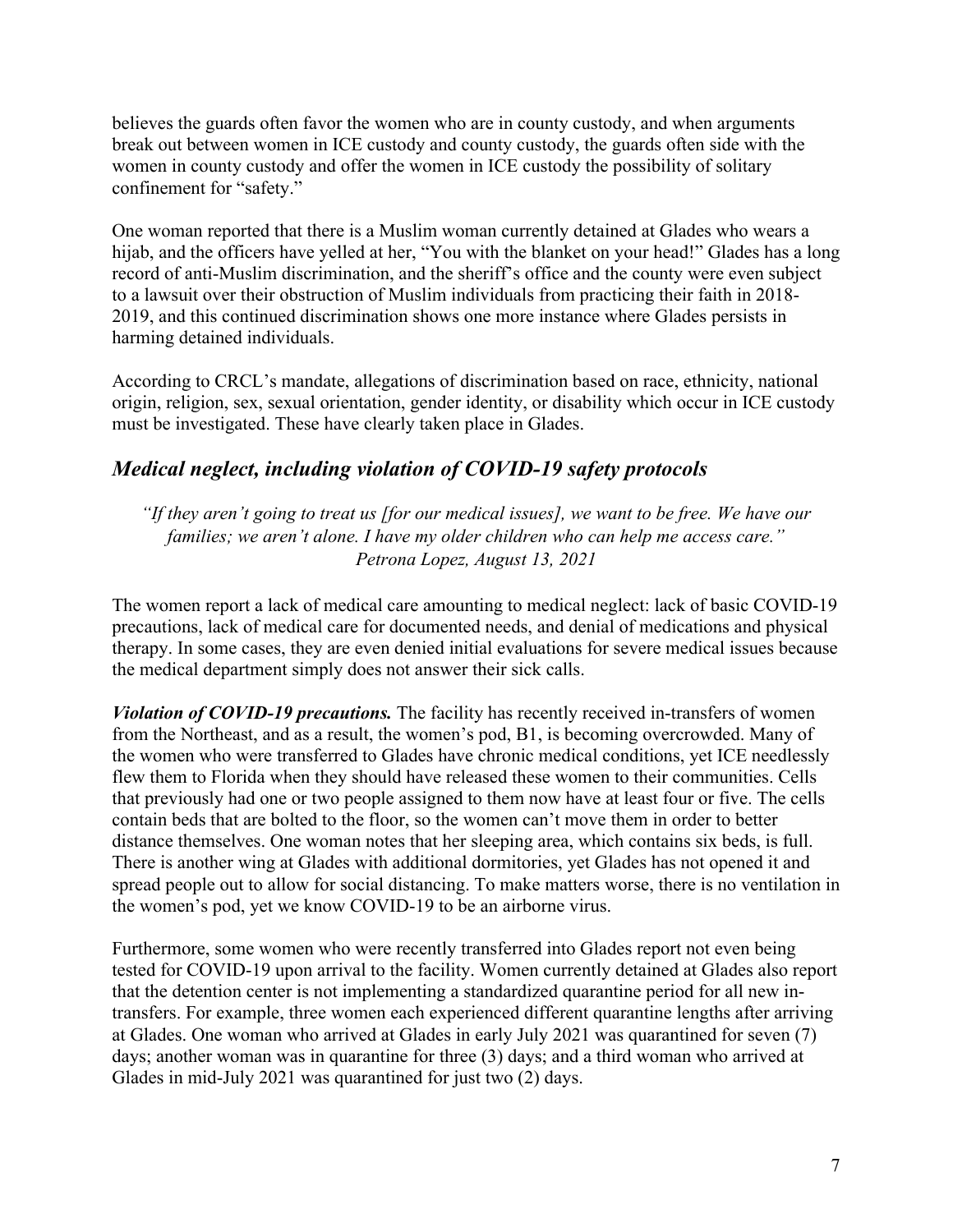believes the guards often favor the women who are in county custody, and when arguments break out between women in ICE custody and county custody, the guards often side with the women in county custody and offer the women in ICE custody the possibility of solitary confinement for "safety."

One woman reported that there is a Muslim woman currently detained at Glades who wears a hijab, and the officers have yelled at her, "You with the blanket on your head!" Glades has a long record of anti-Muslim discrimination, and the sheriff's office and the county were even subject to a lawsuit over their obstruction of Muslim individuals from practicing their faith in 2018- 2019, and this continued discrimination shows one more instance where Glades persists in harming detained individuals.

According to CRCL's mandate, allegations of discrimination based on race, ethnicity, national origin, religion, sex, sexual orientation, gender identity, or disability which occur in ICE custody must be investigated. These have clearly taken place in Glades.

# *Medical neglect, including violation of COVID-19 safety protocols*

*"If they aren't going to treat us [for our medical issues], we want to be free. We have our families; we aren't alone. I have my older children who can help me access care." Petrona Lopez, August 13, 2021*

The women report a lack of medical care amounting to medical neglect: lack of basic COVID-19 precautions, lack of medical care for documented needs, and denial of medications and physical therapy. In some cases, they are even denied initial evaluations for severe medical issues because the medical department simply does not answer their sick calls.

*Violation of COVID-19 precautions.* The facility has recently received in-transfers of women from the Northeast, and as a result, the women's pod, B1, is becoming overcrowded. Many of the women who were transferred to Glades have chronic medical conditions, yet ICE needlessly flew them to Florida when they should have released these women to their communities. Cells that previously had one or two people assigned to them now have at least four or five. The cells contain beds that are bolted to the floor, so the women can't move them in order to better distance themselves. One woman notes that her sleeping area, which contains six beds, is full. There is another wing at Glades with additional dormitories, yet Glades has not opened it and spread people out to allow for social distancing. To make matters worse, there is no ventilation in the women's pod, yet we know COVID-19 to be an airborne virus.

Furthermore, some women who were recently transferred into Glades report not even being tested for COVID-19 upon arrival to the facility. Women currently detained at Glades also report that the detention center is not implementing a standardized quarantine period for all new intransfers. For example, three women each experienced different quarantine lengths after arriving at Glades. One woman who arrived at Glades in early July 2021 was quarantined for seven (7) days; another woman was in quarantine for three (3) days; and a third woman who arrived at Glades in mid-July 2021 was quarantined for just two (2) days.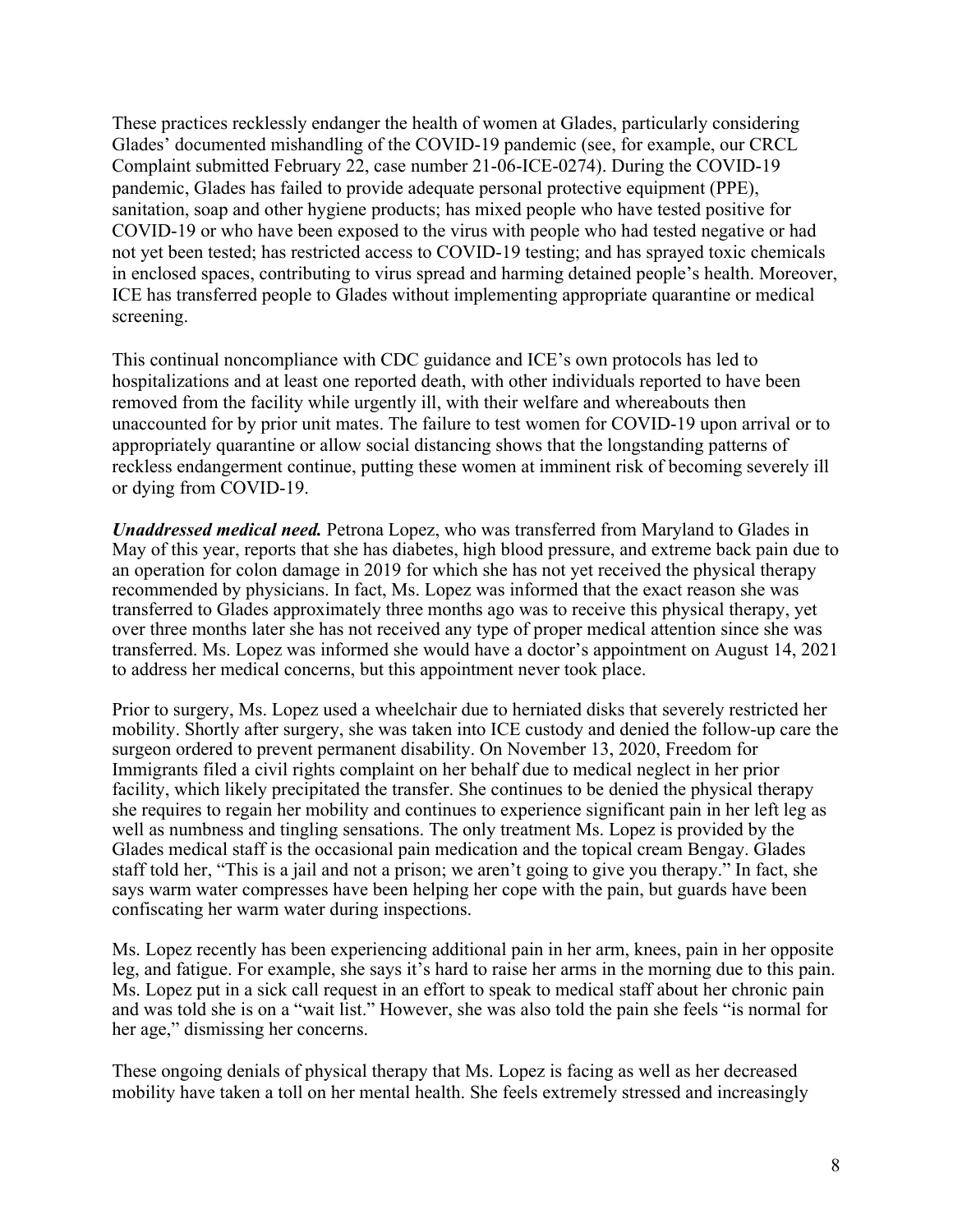These practices recklessly endanger the health of women at Glades, particularly considering Glades' documented mishandling of the COVID-19 pandemic (see, for example, our CRCL Complaint submitted February 22, case number 21-06-ICE-0274). During the COVID-19 pandemic, Glades has failed to provide adequate personal protective equipment (PPE), sanitation, soap and other hygiene products; has mixed people who have tested positive for COVID-19 or who have been exposed to the virus with people who had tested negative or had not yet been tested; has restricted access to COVID-19 testing; and has sprayed toxic chemicals in enclosed spaces, contributing to virus spread and harming detained people's health. Moreover, ICE has transferred people to Glades without implementing appropriate quarantine or medical screening.

This continual noncompliance with CDC guidance and ICE's own protocols has led to hospitalizations and at least one reported death, with other individuals reported to have been removed from the facility while urgently ill, with their welfare and whereabouts then unaccounted for by prior unit mates. The failure to test women for COVID-19 upon arrival or to appropriately quarantine or allow social distancing shows that the longstanding patterns of reckless endangerment continue, putting these women at imminent risk of becoming severely ill or dying from COVID-19.

*Unaddressed medical need.* Petrona Lopez, who was transferred from Maryland to Glades in May of this year, reports that she has diabetes, high blood pressure, and extreme back pain due to an operation for colon damage in 2019 for which she has not yet received the physical therapy recommended by physicians. In fact, Ms. Lopez was informed that the exact reason she was transferred to Glades approximately three months ago was to receive this physical therapy, yet over three months later she has not received any type of proper medical attention since she was transferred. Ms. Lopez was informed she would have a doctor's appointment on August 14, 2021 to address her medical concerns, but this appointment never took place.

Prior to surgery, Ms. Lopez used a wheelchair due to herniated disks that severely restricted her mobility. Shortly after surgery, she was taken into ICE custody and denied the follow-up care the surgeon ordered to prevent permanent disability. On November 13, 2020, Freedom for Immigrants filed a civil rights complaint on her behalf due to medical neglect in her prior facility, which likely precipitated the transfer. She continues to be denied the physical therapy she requires to regain her mobility and continues to experience significant pain in her left leg as well as numbness and tingling sensations. The only treatment Ms. Lopez is provided by the Glades medical staff is the occasional pain medication and the topical cream Bengay. Glades staff told her, "This is a jail and not a prison; we aren't going to give you therapy." In fact, she says warm water compresses have been helping her cope with the pain, but guards have been confiscating her warm water during inspections.

Ms. Lopez recently has been experiencing additional pain in her arm, knees, pain in her opposite leg, and fatigue. For example, she says it's hard to raise her arms in the morning due to this pain. Ms. Lopez put in a sick call request in an effort to speak to medical staff about her chronic pain and was told she is on a "wait list." However, she was also told the pain she feels "is normal for her age," dismissing her concerns.

These ongoing denials of physical therapy that Ms. Lopez is facing as well as her decreased mobility have taken a toll on her mental health. She feels extremely stressed and increasingly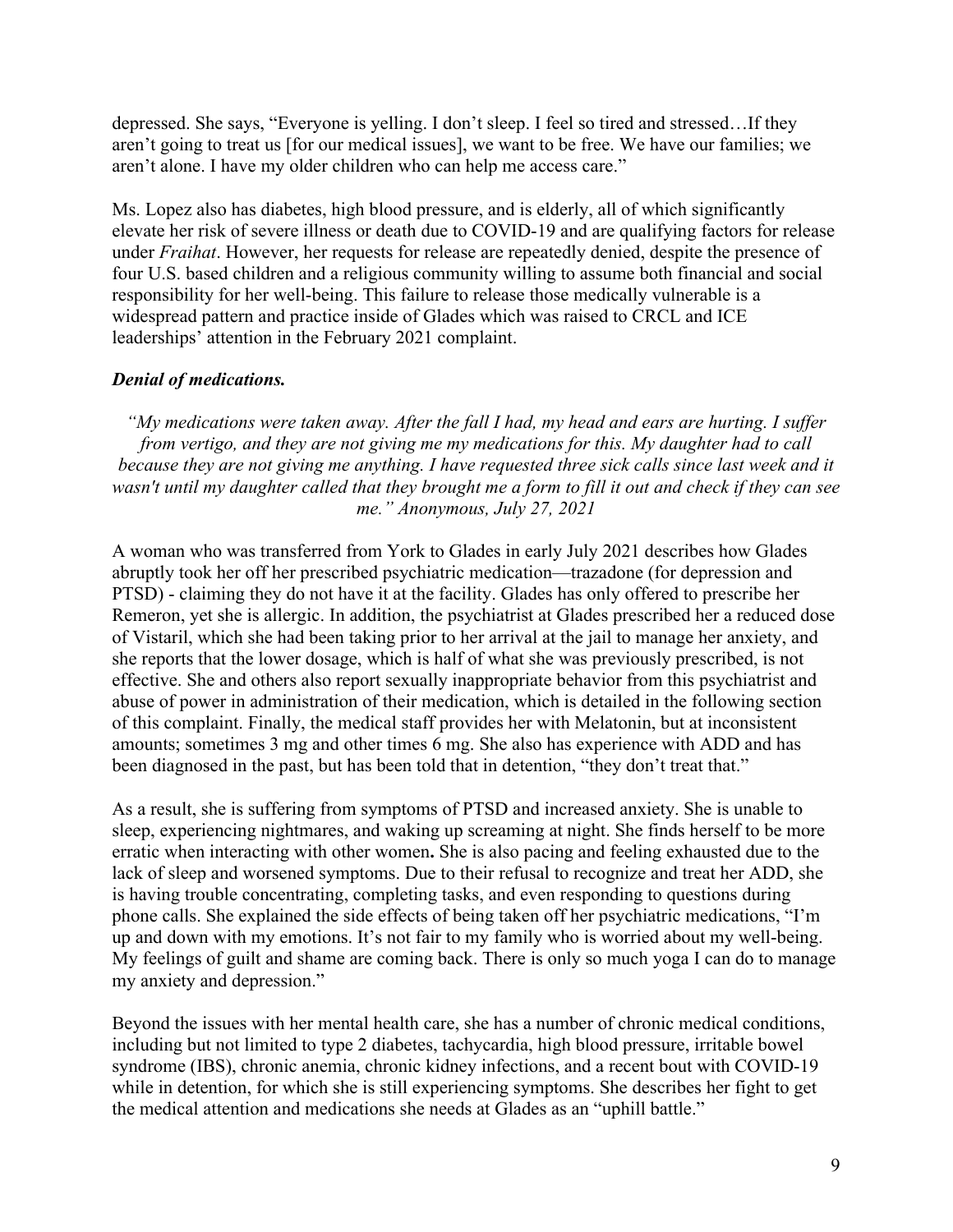depressed. She says, "Everyone is yelling. I don't sleep. I feel so tired and stressed…If they aren't going to treat us [for our medical issues], we want to be free. We have our families; we aren't alone. I have my older children who can help me access care."

Ms. Lopez also has diabetes, high blood pressure, and is elderly, all of which significantly elevate her risk of severe illness or death due to COVID-19 and are qualifying factors for release under *Fraihat*. However, her requests for release are repeatedly denied, despite the presence of four U.S. based children and a religious community willing to assume both financial and social responsibility for her well-being. This failure to release those medically vulnerable is a widespread pattern and practice inside of Glades which was raised to CRCL and ICE leaderships' attention in the February 2021 complaint.

### *Denial of medications.*

*"My medications were taken away. After the fall I had, my head and ears are hurting. I suffer from vertigo, and they are not giving me my medications for this. My daughter had to call because they are not giving me anything. I have requested three sick calls since last week and it wasn't until my daughter called that they brought me a form to fill it out and check if they can see me." Anonymous, July 27, 2021*

A woman who was transferred from York to Glades in early July 2021 describes how Glades abruptly took her off her prescribed psychiatric medication—trazadone (for depression and PTSD) - claiming they do not have it at the facility. Glades has only offered to prescribe her Remeron, yet she is allergic. In addition, the psychiatrist at Glades prescribed her a reduced dose of Vistaril, which she had been taking prior to her arrival at the jail to manage her anxiety, and she reports that the lower dosage, which is half of what she was previously prescribed, is not effective. She and others also report sexually inappropriate behavior from this psychiatrist and abuse of power in administration of their medication, which is detailed in the following section of this complaint. Finally, the medical staff provides her with Melatonin, but at inconsistent amounts; sometimes 3 mg and other times 6 mg. She also has experience with ADD and has been diagnosed in the past, but has been told that in detention, "they don't treat that."

As a result, she is suffering from symptoms of PTSD and increased anxiety. She is unable to sleep, experiencing nightmares, and waking up screaming at night. She finds herself to be more erratic when interacting with other women**.** She is also pacing and feeling exhausted due to the lack of sleep and worsened symptoms. Due to their refusal to recognize and treat her ADD, she is having trouble concentrating, completing tasks, and even responding to questions during phone calls. She explained the side effects of being taken off her psychiatric medications, "I'm up and down with my emotions. It's not fair to my family who is worried about my well-being. My feelings of guilt and shame are coming back. There is only so much yoga I can do to manage my anxiety and depression."

Beyond the issues with her mental health care, she has a number of chronic medical conditions, including but not limited to type 2 diabetes, tachycardia, high blood pressure, irritable bowel syndrome (IBS), chronic anemia, chronic kidney infections, and a recent bout with COVID-19 while in detention, for which she is still experiencing symptoms. She describes her fight to get the medical attention and medications she needs at Glades as an "uphill battle."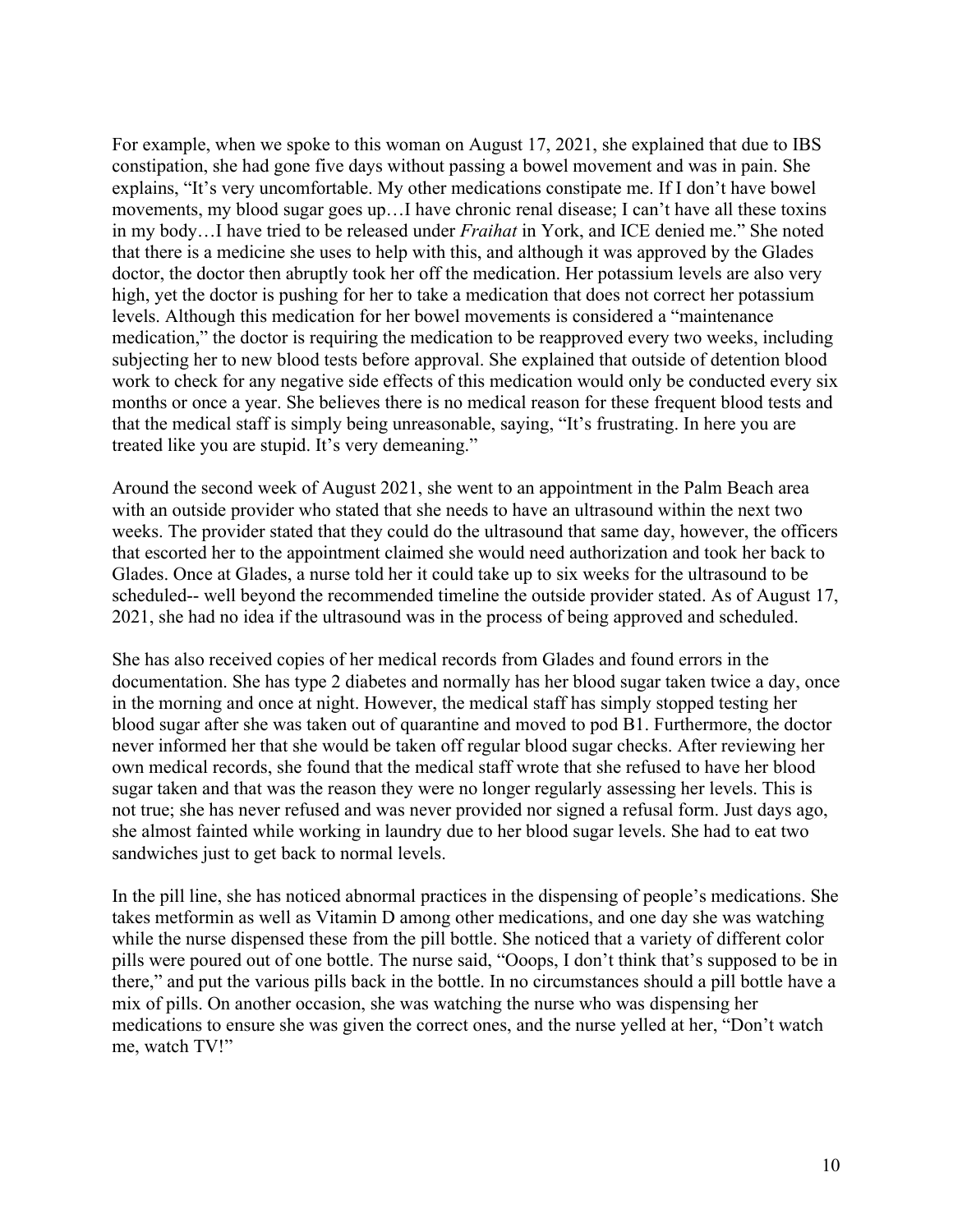For example, when we spoke to this woman on August 17, 2021, she explained that due to IBS constipation, she had gone five days without passing a bowel movement and was in pain. She explains, "It's very uncomfortable. My other medications constipate me. If I don't have bowel movements, my blood sugar goes up…I have chronic renal disease; I can't have all these toxins in my body…I have tried to be released under *Fraihat* in York, and ICE denied me." She noted that there is a medicine she uses to help with this, and although it was approved by the Glades doctor, the doctor then abruptly took her off the medication. Her potassium levels are also very high, yet the doctor is pushing for her to take a medication that does not correct her potassium levels. Although this medication for her bowel movements is considered a "maintenance medication," the doctor is requiring the medication to be reapproved every two weeks, including subjecting her to new blood tests before approval. She explained that outside of detention blood work to check for any negative side effects of this medication would only be conducted every six months or once a year. She believes there is no medical reason for these frequent blood tests and that the medical staff is simply being unreasonable, saying, "It's frustrating. In here you are treated like you are stupid. It's very demeaning."

Around the second week of August 2021, she went to an appointment in the Palm Beach area with an outside provider who stated that she needs to have an ultrasound within the next two weeks. The provider stated that they could do the ultrasound that same day, however, the officers that escorted her to the appointment claimed she would need authorization and took her back to Glades. Once at Glades, a nurse told her it could take up to six weeks for the ultrasound to be scheduled-- well beyond the recommended timeline the outside provider stated. As of August 17, 2021, she had no idea if the ultrasound was in the process of being approved and scheduled.

She has also received copies of her medical records from Glades and found errors in the documentation. She has type 2 diabetes and normally has her blood sugar taken twice a day, once in the morning and once at night. However, the medical staff has simply stopped testing her blood sugar after she was taken out of quarantine and moved to pod B1. Furthermore, the doctor never informed her that she would be taken off regular blood sugar checks. After reviewing her own medical records, she found that the medical staff wrote that she refused to have her blood sugar taken and that was the reason they were no longer regularly assessing her levels. This is not true; she has never refused and was never provided nor signed a refusal form. Just days ago, she almost fainted while working in laundry due to her blood sugar levels. She had to eat two sandwiches just to get back to normal levels.

In the pill line, she has noticed abnormal practices in the dispensing of people's medications. She takes metformin as well as Vitamin D among other medications, and one day she was watching while the nurse dispensed these from the pill bottle. She noticed that a variety of different color pills were poured out of one bottle. The nurse said, "Ooops, I don't think that's supposed to be in there," and put the various pills back in the bottle. In no circumstances should a pill bottle have a mix of pills. On another occasion, she was watching the nurse who was dispensing her medications to ensure she was given the correct ones, and the nurse yelled at her, "Don't watch me, watch TV!"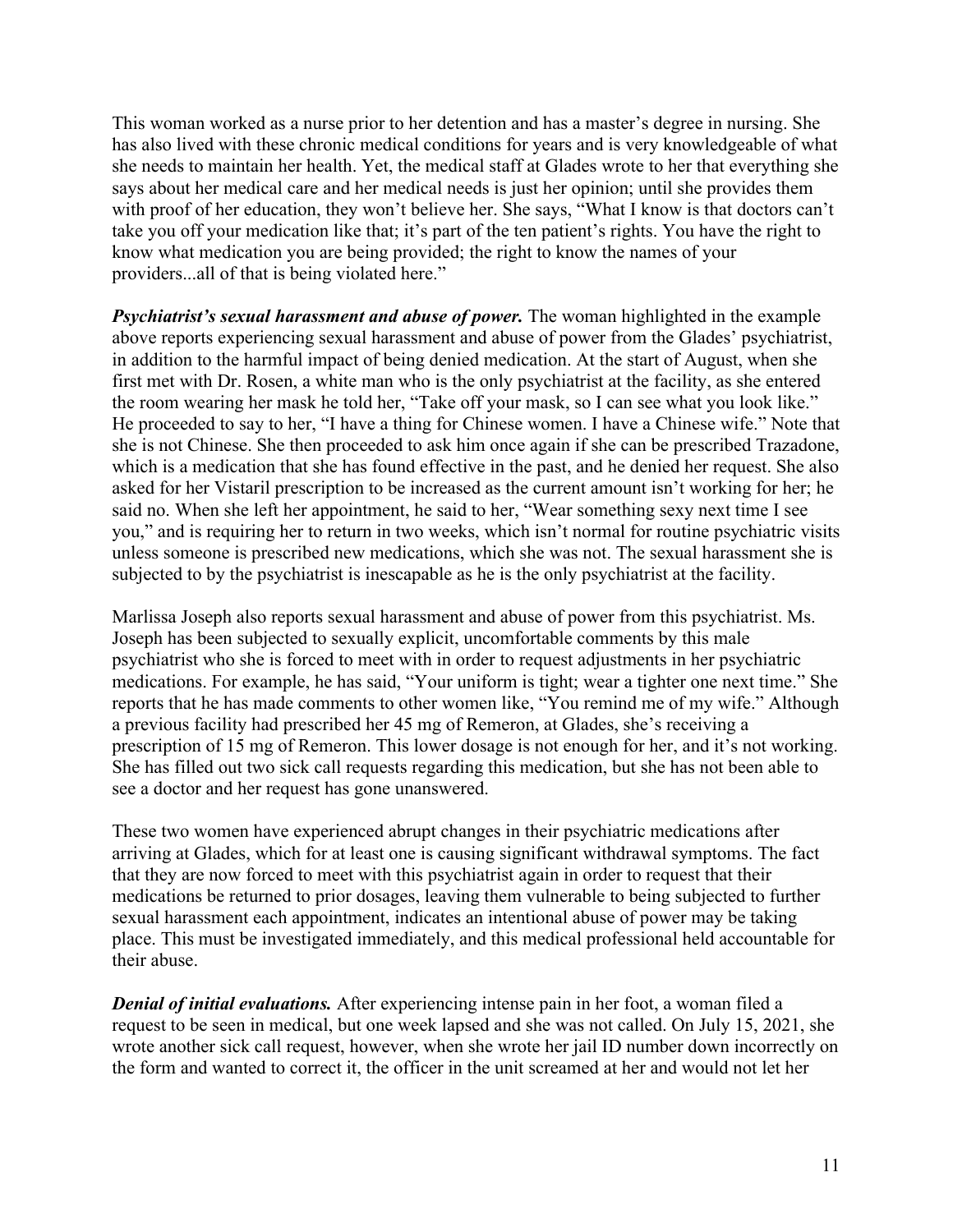This woman worked as a nurse prior to her detention and has a master's degree in nursing. She has also lived with these chronic medical conditions for years and is very knowledgeable of what she needs to maintain her health. Yet, the medical staff at Glades wrote to her that everything she says about her medical care and her medical needs is just her opinion; until she provides them with proof of her education, they won't believe her. She says, "What I know is that doctors can't take you off your medication like that; it's part of the ten patient's rights. You have the right to know what medication you are being provided; the right to know the names of your providers...all of that is being violated here."

*Psychiatrist's sexual harassment and abuse of power.* The woman highlighted in the example above reports experiencing sexual harassment and abuse of power from the Glades' psychiatrist, in addition to the harmful impact of being denied medication. At the start of August, when she first met with Dr. Rosen, a white man who is the only psychiatrist at the facility, as she entered the room wearing her mask he told her, "Take off your mask, so I can see what you look like." He proceeded to say to her, "I have a thing for Chinese women. I have a Chinese wife." Note that she is not Chinese. She then proceeded to ask him once again if she can be prescribed Trazadone, which is a medication that she has found effective in the past, and he denied her request. She also asked for her Vistaril prescription to be increased as the current amount isn't working for her; he said no. When she left her appointment, he said to her, "Wear something sexy next time I see you," and is requiring her to return in two weeks, which isn't normal for routine psychiatric visits unless someone is prescribed new medications, which she was not. The sexual harassment she is subjected to by the psychiatrist is inescapable as he is the only psychiatrist at the facility.

Marlissa Joseph also reports sexual harassment and abuse of power from this psychiatrist. Ms. Joseph has been subjected to sexually explicit, uncomfortable comments by this male psychiatrist who she is forced to meet with in order to request adjustments in her psychiatric medications. For example, he has said, "Your uniform is tight; wear a tighter one next time." She reports that he has made comments to other women like, "You remind me of my wife." Although a previous facility had prescribed her 45 mg of Remeron, at Glades, she's receiving a prescription of 15 mg of Remeron. This lower dosage is not enough for her, and it's not working. She has filled out two sick call requests regarding this medication, but she has not been able to see a doctor and her request has gone unanswered.

These two women have experienced abrupt changes in their psychiatric medications after arriving at Glades, which for at least one is causing significant withdrawal symptoms. The fact that they are now forced to meet with this psychiatrist again in order to request that their medications be returned to prior dosages, leaving them vulnerable to being subjected to further sexual harassment each appointment, indicates an intentional abuse of power may be taking place. This must be investigated immediately, and this medical professional held accountable for their abuse.

*Denial of initial evaluations.* After experiencing intense pain in her foot, a woman filed a request to be seen in medical, but one week lapsed and she was not called. On July 15, 2021, she wrote another sick call request, however, when she wrote her jail ID number down incorrectly on the form and wanted to correct it, the officer in the unit screamed at her and would not let her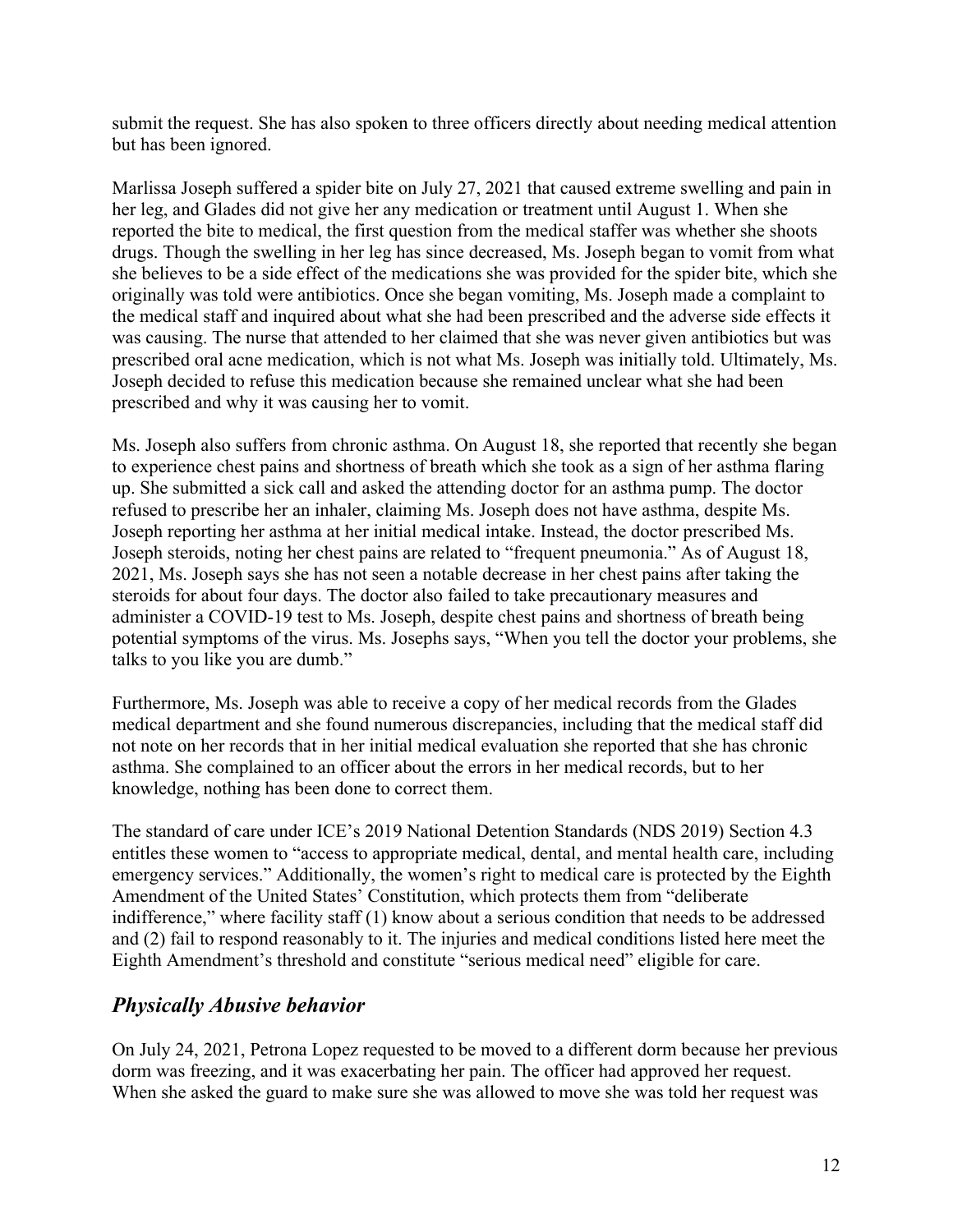submit the request. She has also spoken to three officers directly about needing medical attention but has been ignored.

Marlissa Joseph suffered a spider bite on July 27, 2021 that caused extreme swelling and pain in her leg, and Glades did not give her any medication or treatment until August 1. When she reported the bite to medical, the first question from the medical staffer was whether she shoots drugs. Though the swelling in her leg has since decreased, Ms. Joseph began to vomit from what she believes to be a side effect of the medications she was provided for the spider bite, which she originally was told were antibiotics. Once she began vomiting, Ms. Joseph made a complaint to the medical staff and inquired about what she had been prescribed and the adverse side effects it was causing. The nurse that attended to her claimed that she was never given antibiotics but was prescribed oral acne medication, which is not what Ms. Joseph was initially told. Ultimately, Ms. Joseph decided to refuse this medication because she remained unclear what she had been prescribed and why it was causing her to vomit.

Ms. Joseph also suffers from chronic asthma. On August 18, she reported that recently she began to experience chest pains and shortness of breath which she took as a sign of her asthma flaring up. She submitted a sick call and asked the attending doctor for an asthma pump. The doctor refused to prescribe her an inhaler, claiming Ms. Joseph does not have asthma, despite Ms. Joseph reporting her asthma at her initial medical intake. Instead, the doctor prescribed Ms. Joseph steroids, noting her chest pains are related to "frequent pneumonia." As of August 18, 2021, Ms. Joseph says she has not seen a notable decrease in her chest pains after taking the steroids for about four days. The doctor also failed to take precautionary measures and administer a COVID-19 test to Ms. Joseph, despite chest pains and shortness of breath being potential symptoms of the virus. Ms. Josephs says, "When you tell the doctor your problems, she talks to you like you are dumb."

Furthermore, Ms. Joseph was able to receive a copy of her medical records from the Glades medical department and she found numerous discrepancies, including that the medical staff did not note on her records that in her initial medical evaluation she reported that she has chronic asthma. She complained to an officer about the errors in her medical records, but to her knowledge, nothing has been done to correct them.

The standard of care under ICE's 2019 National Detention Standards (NDS 2019) Section 4.3 entitles these women to "access to appropriate medical, dental, and mental health care, including emergency services." Additionally, the women's right to medical care is protected by the Eighth Amendment of the United States' Constitution, which protects them from "deliberate indifference," where facility staff (1) know about a serious condition that needs to be addressed and (2) fail to respond reasonably to it. The injuries and medical conditions listed here meet the Eighth Amendment's threshold and constitute "serious medical need" eligible for care.

## *Physically Abusive behavior*

On July 24, 2021, Petrona Lopez requested to be moved to a different dorm because her previous dorm was freezing, and it was exacerbating her pain. The officer had approved her request. When she asked the guard to make sure she was allowed to move she was told her request was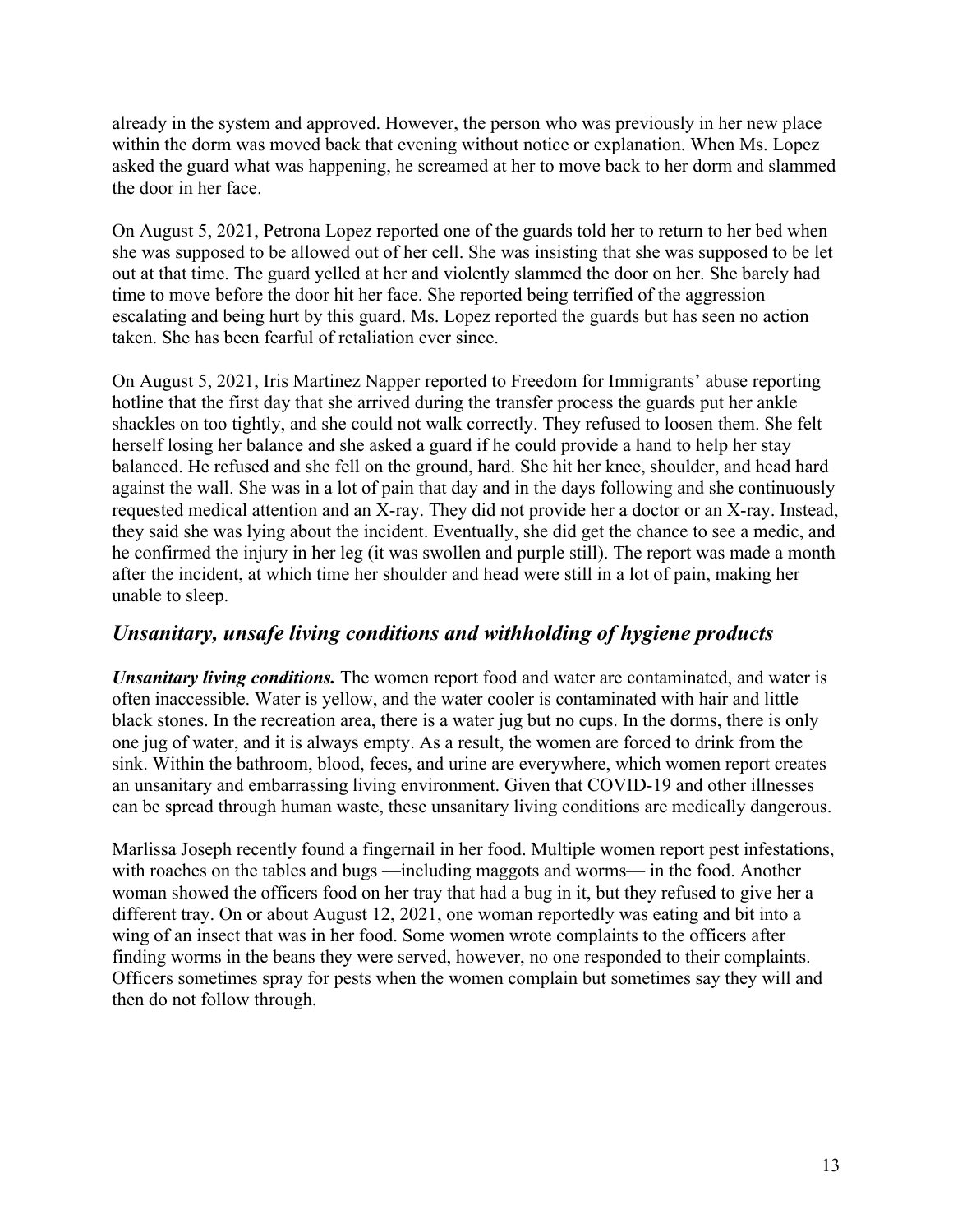already in the system and approved. However, the person who was previously in her new place within the dorm was moved back that evening without notice or explanation. When Ms. Lopez asked the guard what was happening, he screamed at her to move back to her dorm and slammed the door in her face.

On August 5, 2021, Petrona Lopez reported one of the guards told her to return to her bed when she was supposed to be allowed out of her cell. She was insisting that she was supposed to be let out at that time. The guard yelled at her and violently slammed the door on her. She barely had time to move before the door hit her face. She reported being terrified of the aggression escalating and being hurt by this guard. Ms. Lopez reported the guards but has seen no action taken. She has been fearful of retaliation ever since.

On August 5, 2021, Iris Martinez Napper reported to Freedom for Immigrants' abuse reporting hotline that the first day that she arrived during the transfer process the guards put her ankle shackles on too tightly, and she could not walk correctly. They refused to loosen them. She felt herself losing her balance and she asked a guard if he could provide a hand to help her stay balanced. He refused and she fell on the ground, hard. She hit her knee, shoulder, and head hard against the wall. She was in a lot of pain that day and in the days following and she continuously requested medical attention and an X-ray. They did not provide her a doctor or an X-ray. Instead, they said she was lying about the incident. Eventually, she did get the chance to see a medic, and he confirmed the injury in her leg (it was swollen and purple still). The report was made a month after the incident, at which time her shoulder and head were still in a lot of pain, making her unable to sleep.

### *Unsanitary, unsafe living conditions and withholding of hygiene products*

*Unsanitary living conditions.* The women report food and water are contaminated, and water is often inaccessible. Water is yellow, and the water cooler is contaminated with hair and little black stones. In the recreation area, there is a water jug but no cups. In the dorms, there is only one jug of water, and it is always empty. As a result, the women are forced to drink from the sink. Within the bathroom, blood, feces, and urine are everywhere, which women report creates an unsanitary and embarrassing living environment. Given that COVID-19 and other illnesses can be spread through human waste, these unsanitary living conditions are medically dangerous.

Marlissa Joseph recently found a fingernail in her food. Multiple women report pest infestations, with roaches on the tables and bugs —including maggots and worms— in the food. Another woman showed the officers food on her tray that had a bug in it, but they refused to give her a different tray. On or about August 12, 2021, one woman reportedly was eating and bit into a wing of an insect that was in her food. Some women wrote complaints to the officers after finding worms in the beans they were served, however, no one responded to their complaints. Officers sometimes spray for pests when the women complain but sometimes say they will and then do not follow through.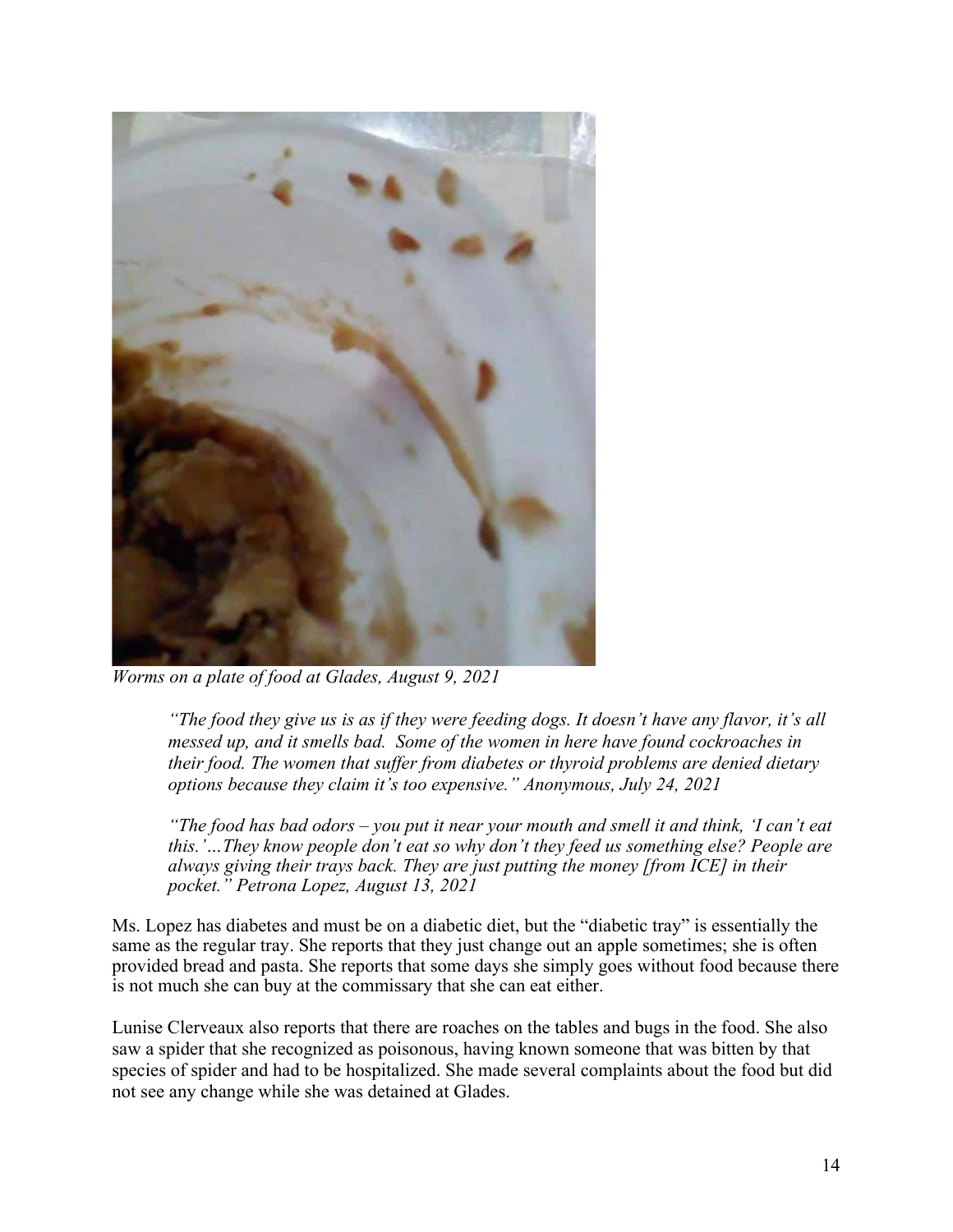

*Worms on a plate of food at Glades, August 9, 2021*

*"The food they give us is as if they were feeding dogs. It doesn't have any flavor, it's all messed up, and it smells bad. Some of the women in here have found cockroaches in their food. The women that suffer from diabetes or thyroid problems are denied dietary options because they claim it's too expensive." Anonymous, July 24, 2021*

*"The food has bad odors – you put it near your mouth and smell it and think, 'I can't eat this.'…They know people don't eat so why don't they feed us something else? People are always giving their trays back. They are just putting the money [from ICE] in their pocket." Petrona Lopez, August 13, 2021*

Ms. Lopez has diabetes and must be on a diabetic diet, but the "diabetic tray" is essentially the same as the regular tray. She reports that they just change out an apple sometimes; she is often provided bread and pasta. She reports that some days she simply goes without food because there is not much she can buy at the commissary that she can eat either.

Lunise Clerveaux also reports that there are roaches on the tables and bugs in the food. She also saw a spider that she recognized as poisonous, having known someone that was bitten by that species of spider and had to be hospitalized. She made several complaints about the food but did not see any change while she was detained at Glades.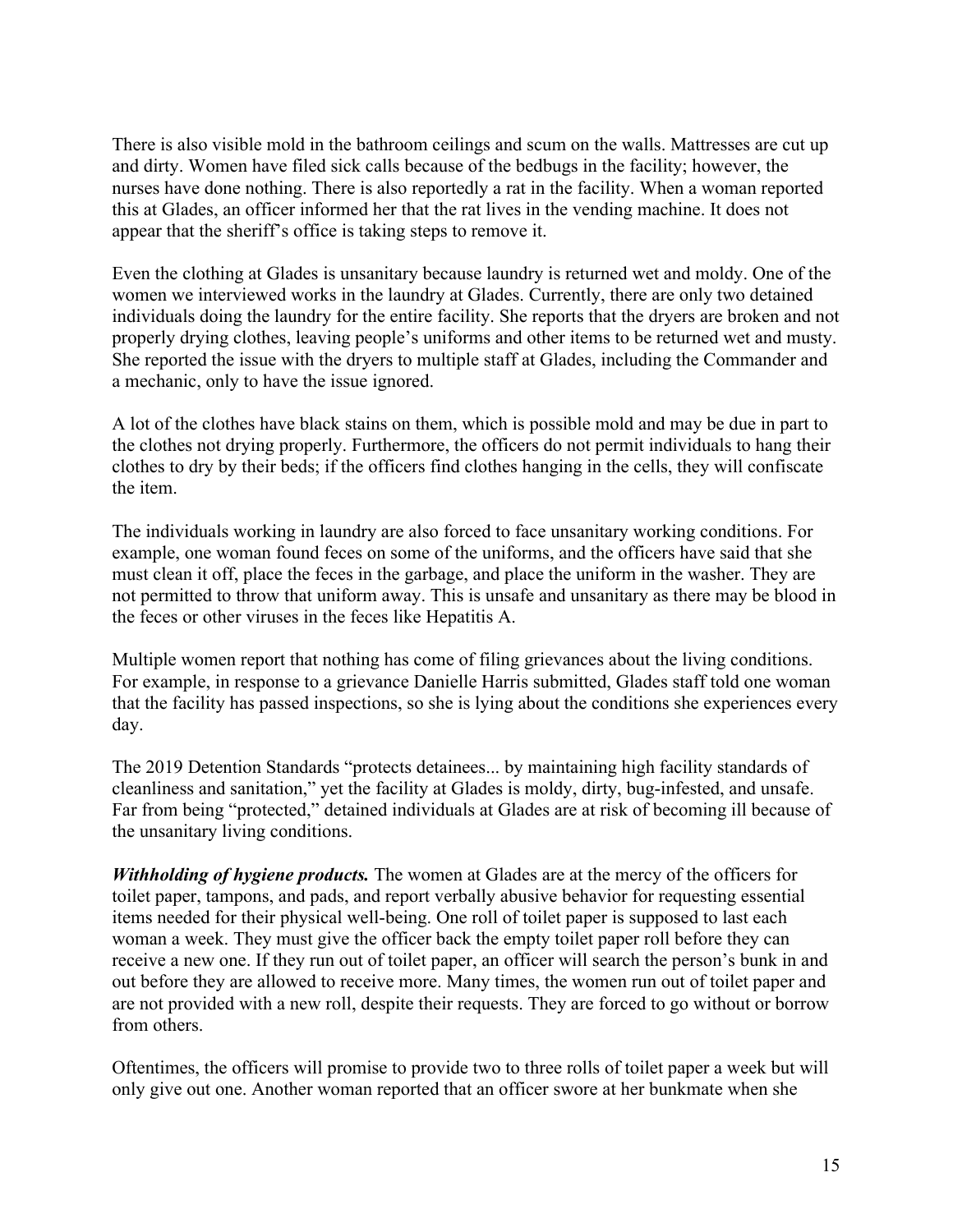There is also visible mold in the bathroom ceilings and scum on the walls. Mattresses are cut up and dirty. Women have filed sick calls because of the bedbugs in the facility; however, the nurses have done nothing. There is also reportedly a rat in the facility. When a woman reported this at Glades, an officer informed her that the rat lives in the vending machine. It does not appear that the sheriff's office is taking steps to remove it.

Even the clothing at Glades is unsanitary because laundry is returned wet and moldy. One of the women we interviewed works in the laundry at Glades. Currently, there are only two detained individuals doing the laundry for the entire facility. She reports that the dryers are broken and not properly drying clothes, leaving people's uniforms and other items to be returned wet and musty. She reported the issue with the dryers to multiple staff at Glades, including the Commander and a mechanic, only to have the issue ignored.

A lot of the clothes have black stains on them, which is possible mold and may be due in part to the clothes not drying properly. Furthermore, the officers do not permit individuals to hang their clothes to dry by their beds; if the officers find clothes hanging in the cells, they will confiscate the item.

The individuals working in laundry are also forced to face unsanitary working conditions. For example, one woman found feces on some of the uniforms, and the officers have said that she must clean it off, place the feces in the garbage, and place the uniform in the washer. They are not permitted to throw that uniform away. This is unsafe and unsanitary as there may be blood in the feces or other viruses in the feces like Hepatitis A.

Multiple women report that nothing has come of filing grievances about the living conditions. For example, in response to a grievance Danielle Harris submitted, Glades staff told one woman that the facility has passed inspections, so she is lying about the conditions she experiences every day.

The 2019 Detention Standards "protects detainees... by maintaining high facility standards of cleanliness and sanitation," yet the facility at Glades is moldy, dirty, bug-infested, and unsafe. Far from being "protected," detained individuals at Glades are at risk of becoming ill because of the unsanitary living conditions.

*Withholding of hygiene products.* The women at Glades are at the mercy of the officers for toilet paper, tampons, and pads, and report verbally abusive behavior for requesting essential items needed for their physical well-being. One roll of toilet paper is supposed to last each woman a week. They must give the officer back the empty toilet paper roll before they can receive a new one. If they run out of toilet paper, an officer will search the person's bunk in and out before they are allowed to receive more. Many times, the women run out of toilet paper and are not provided with a new roll, despite their requests. They are forced to go without or borrow from others.

Oftentimes, the officers will promise to provide two to three rolls of toilet paper a week but will only give out one. Another woman reported that an officer swore at her bunkmate when she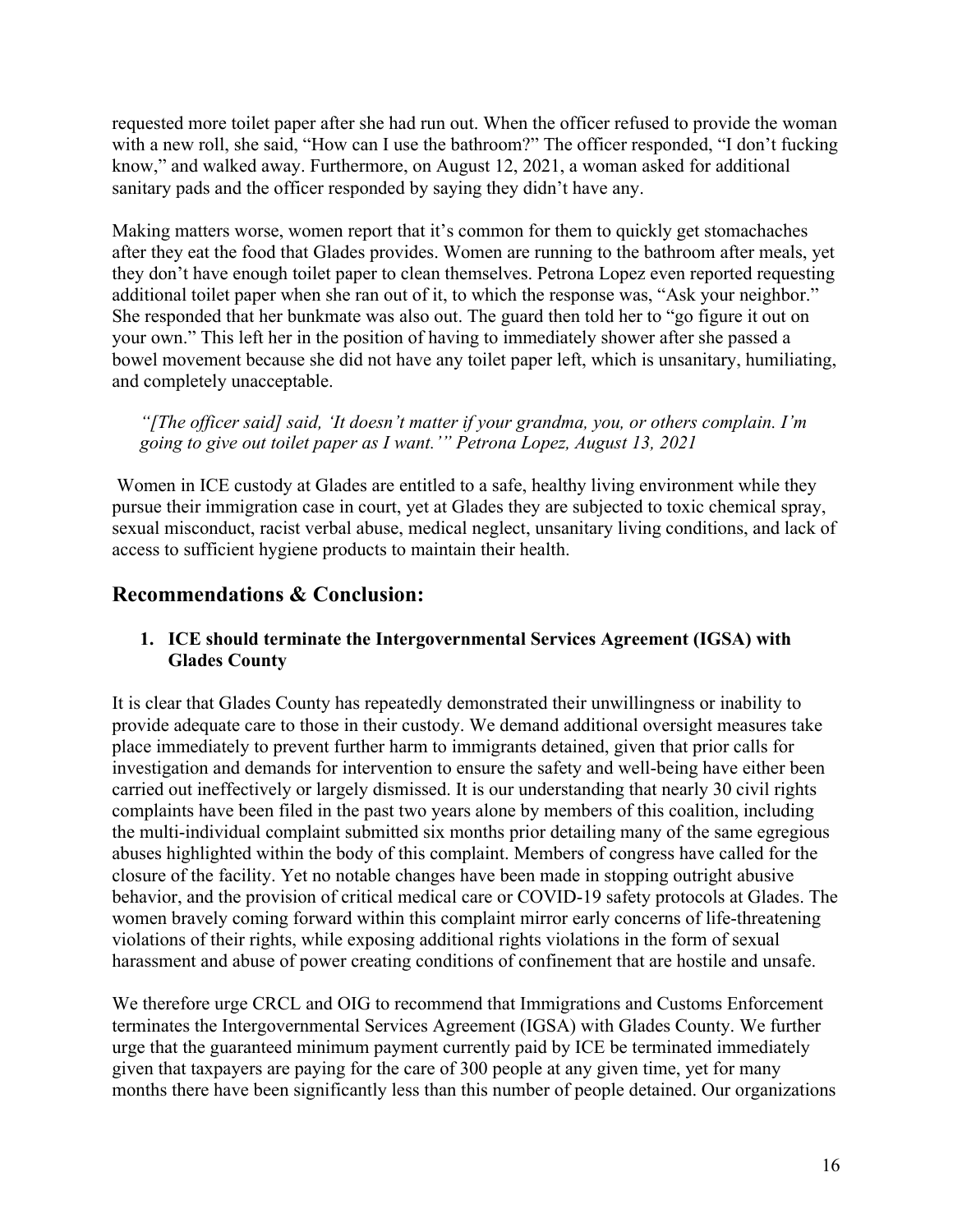requested more toilet paper after she had run out. When the officer refused to provide the woman with a new roll, she said, "How can I use the bathroom?" The officer responded, "I don't fucking know," and walked away. Furthermore, on August 12, 2021, a woman asked for additional sanitary pads and the officer responded by saying they didn't have any.

Making matters worse, women report that it's common for them to quickly get stomachaches after they eat the food that Glades provides. Women are running to the bathroom after meals, yet they don't have enough toilet paper to clean themselves. Petrona Lopez even reported requesting additional toilet paper when she ran out of it, to which the response was, "Ask your neighbor." She responded that her bunkmate was also out. The guard then told her to "go figure it out on your own." This left her in the position of having to immediately shower after she passed a bowel movement because she did not have any toilet paper left, which is unsanitary, humiliating, and completely unacceptable.

*"[The officer said] said, 'It doesn't matter if your grandma, you, or others complain. I'm going to give out toilet paper as I want.'" Petrona Lopez, August 13, 2021*

Women in ICE custody at Glades are entitled to a safe, healthy living environment while they pursue their immigration case in court, yet at Glades they are subjected to toxic chemical spray, sexual misconduct, racist verbal abuse, medical neglect, unsanitary living conditions, and lack of access to sufficient hygiene products to maintain their health.

## **Recommendations & Conclusion:**

#### **1. ICE should terminate the Intergovernmental Services Agreement (IGSA) with Glades County**

It is clear that Glades County has repeatedly demonstrated their unwillingness or inability to provide adequate care to those in their custody. We demand additional oversight measures take place immediately to prevent further harm to immigrants detained, given that prior calls for investigation and demands for intervention to ensure the safety and well-being have either been carried out ineffectively or largely dismissed. It is our understanding that nearly 30 civil rights complaints have been filed in the past two years alone by members of this coalition, including the multi-individual complaint submitted six months prior detailing many of the same egregious abuses highlighted within the body of this complaint. Members of congress have called for the closure of the facility. Yet no notable changes have been made in stopping outright abusive behavior, and the provision of critical medical care or COVID-19 safety protocols at Glades. The women bravely coming forward within this complaint mirror early concerns of life-threatening violations of their rights, while exposing additional rights violations in the form of sexual harassment and abuse of power creating conditions of confinement that are hostile and unsafe.

We therefore urge CRCL and OIG to recommend that Immigrations and Customs Enforcement terminates the Intergovernmental Services Agreement (IGSA) with Glades County. We further urge that the guaranteed minimum payment currently paid by ICE be terminated immediately given that taxpayers are paying for the care of 300 people at any given time, yet for many months there have been significantly less than this number of people detained. Our organizations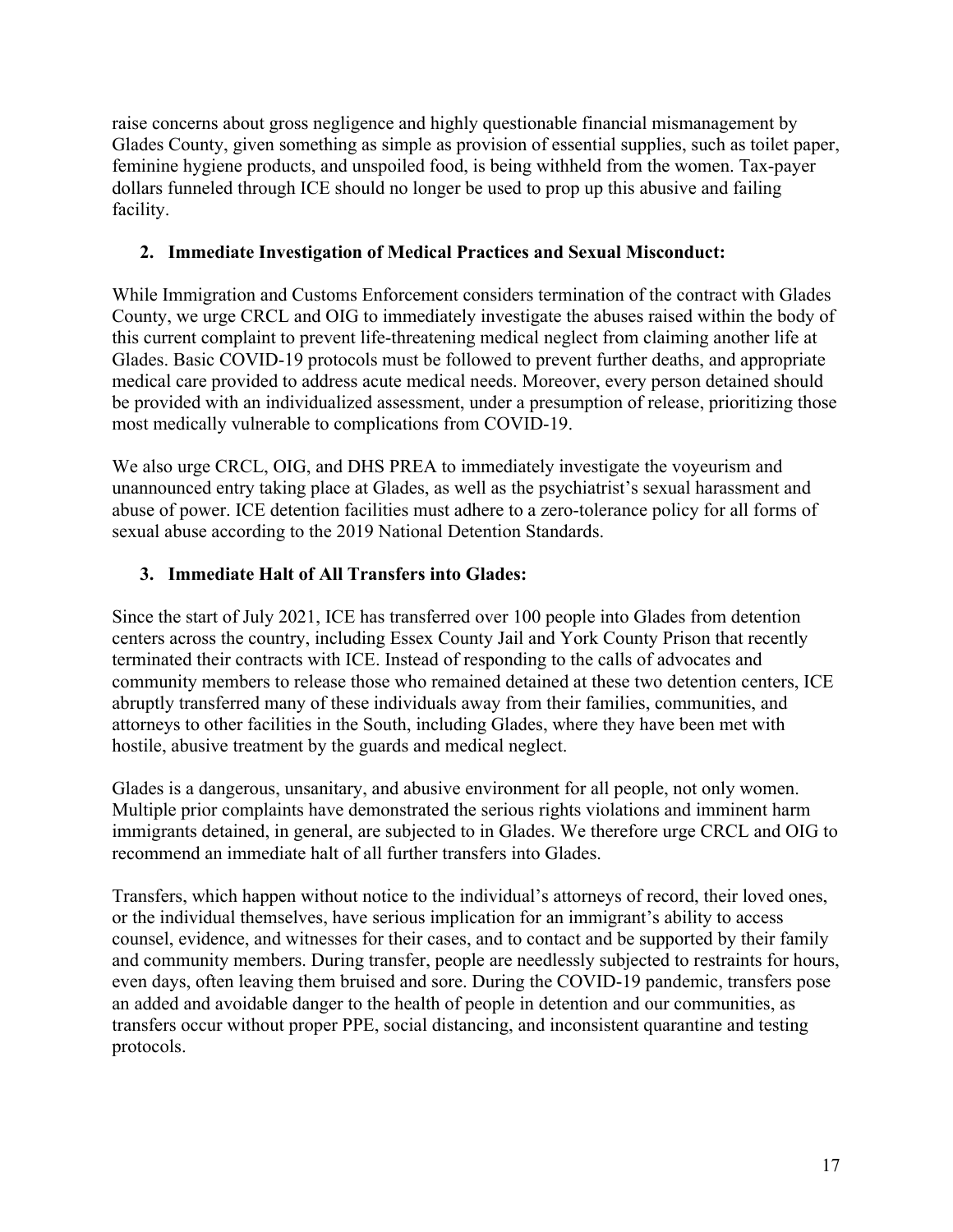raise concerns about gross negligence and highly questionable financial mismanagement by Glades County, given something as simple as provision of essential supplies, such as toilet paper, feminine hygiene products, and unspoiled food, is being withheld from the women. Tax-payer dollars funneled through ICE should no longer be used to prop up this abusive and failing facility.

### **2. Immediate Investigation of Medical Practices and Sexual Misconduct:**

While Immigration and Customs Enforcement considers termination of the contract with Glades County, we urge CRCL and OIG to immediately investigate the abuses raised within the body of this current complaint to prevent life-threatening medical neglect from claiming another life at Glades. Basic COVID-19 protocols must be followed to prevent further deaths, and appropriate medical care provided to address acute medical needs. Moreover, every person detained should be provided with an individualized assessment, under a presumption of release, prioritizing those most medically vulnerable to complications from COVID-19.

We also urge CRCL, OIG, and DHS PREA to immediately investigate the voyeurism and unannounced entry taking place at Glades, as well as the psychiatrist's sexual harassment and abuse of power. ICE detention facilities must adhere to a zero-tolerance policy for all forms of sexual abuse according to the 2019 National Detention Standards.

### **3. Immediate Halt of All Transfers into Glades:**

Since the start of July 2021, ICE has transferred over 100 people into Glades from detention centers across the country, including Essex County Jail and York County Prison that recently terminated their contracts with ICE. Instead of responding to the calls of advocates and community members to release those who remained detained at these two detention centers, ICE abruptly transferred many of these individuals away from their families, communities, and attorneys to other facilities in the South, including Glades, where they have been met with hostile, abusive treatment by the guards and medical neglect.

Glades is a dangerous, unsanitary, and abusive environment for all people, not only women. Multiple prior complaints have demonstrated the serious rights violations and imminent harm immigrants detained, in general, are subjected to in Glades. We therefore urge CRCL and OIG to recommend an immediate halt of all further transfers into Glades.

Transfers, which happen without notice to the individual's attorneys of record, their loved ones, or the individual themselves, have serious implication for an immigrant's ability to access counsel, evidence, and witnesses for their cases, and to contact and be supported by their family and community members. During transfer, people are needlessly subjected to restraints for hours, even days, often leaving them bruised and sore. During the COVID-19 pandemic, transfers pose an added and avoidable danger to the health of people in detention and our communities, as transfers occur without proper PPE, social distancing, and inconsistent quarantine and testing protocols.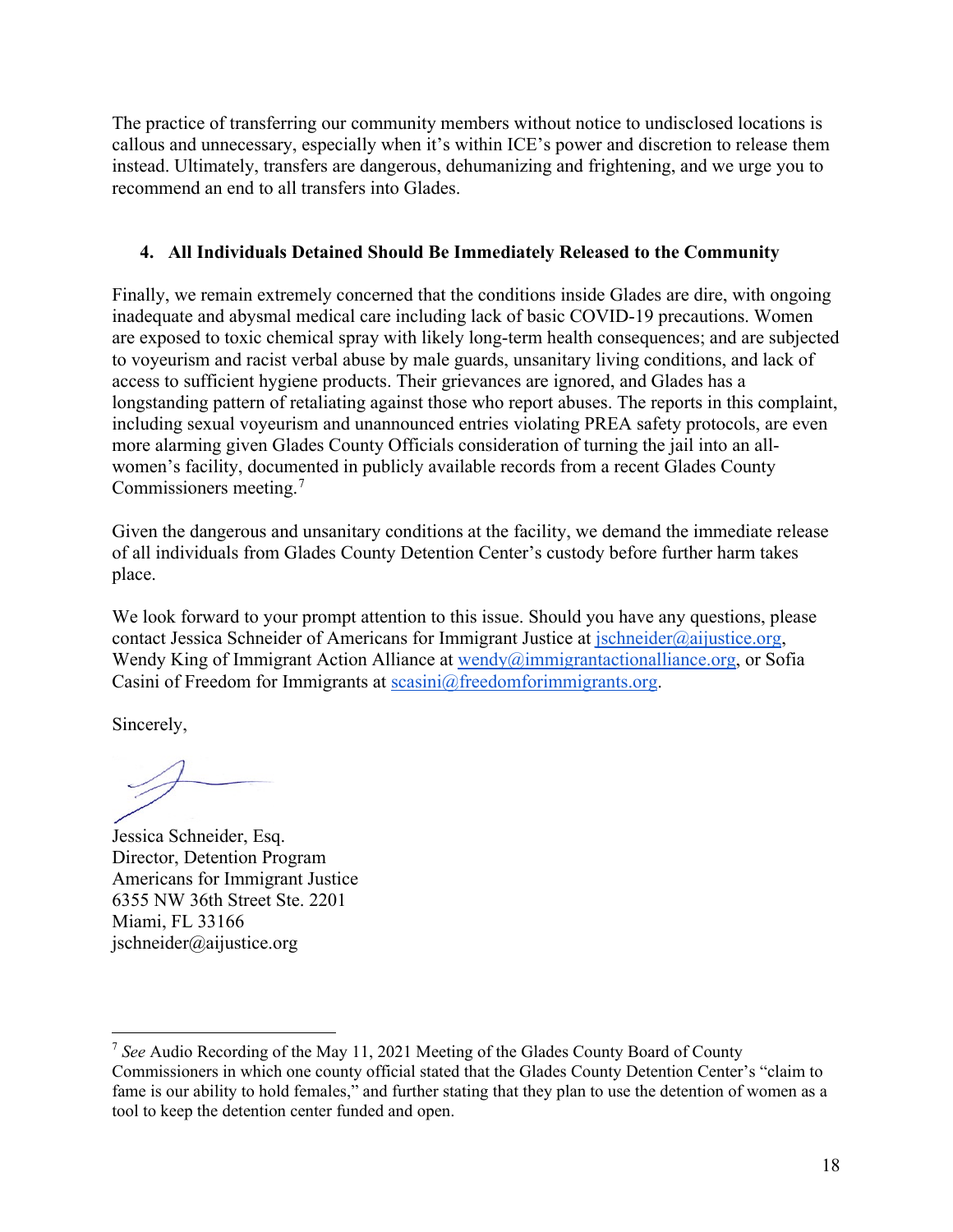The practice of transferring our community members without notice to undisclosed locations is callous and unnecessary, especially when it's within ICE's power and discretion to release them instead. Ultimately, transfers are dangerous, dehumanizing and frightening, and we urge you to recommend an end to all transfers into Glades.

### **4. All Individuals Detained Should Be Immediately Released to the Community**

Finally, we remain extremely concerned that the conditions inside Glades are dire, with ongoing inadequate and abysmal medical care including lack of basic COVID-19 precautions. Women are exposed to toxic chemical spray with likely long-term health consequences; and are subjected to voyeurism and racist verbal abuse by male guards, unsanitary living conditions, and lack of access to sufficient hygiene products. Their grievances are ignored, and Glades has a longstanding pattern of retaliating against those who report abuses. The reports in this complaint, including sexual voyeurism and unannounced entries violating PREA safety protocols, are even more alarming given Glades County Officials consideration of turning the jail into an allwomen's facility, documented in publicly available records from a recent Glades County Commissioners meeting.[7](#page-17-0)

Given the dangerous and unsanitary conditions at the facility, we demand the immediate release of all individuals from Glades County Detention Center's custody before further harm takes place.

We look forward to your prompt attention to this issue. Should you have any questions, please contact Jessica Schneider of Americans for Immigrant Justice at [jschneider@aijustice.org,](mailto:jschneider@aijustice.org) Wendy King of Immigrant Action Alliance at wendy $\omega$  immigrantactionalliance.org, or Sofia Casini of Freedom for Immigrants at [scasini@freedomforimmigrants.org.](mailto:scasini@freedomforimmigrants.org)

Sincerely,

Jessica Schneider, Esq. Director, Detention Program Americans for Immigrant Justice 6355 NW 36th Street Ste. 2201 Miami, FL 33166 jschneider@aijustice.org

<span id="page-17-0"></span><sup>7</sup> *See* Audio Recording of the May 11, 2021 Meeting of the Glades County Board of County Commissioners in which one county official stated that the Glades County Detention Center's "claim to fame is our ability to hold females," and further stating that they plan to use the detention of women as a tool to keep the detention center funded and open.